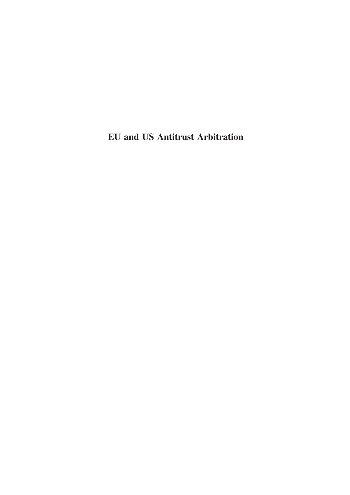# EU and US Antitrust Arbitration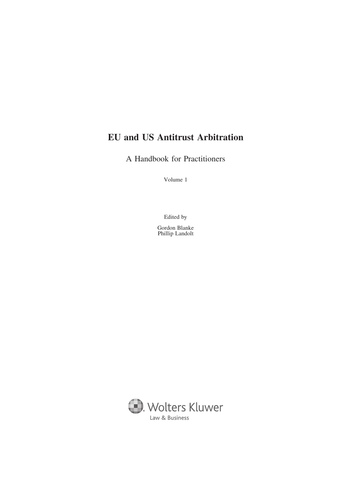# EU and US Antitrust Arbitration

A Handbook for Practitioners

Volume 1

Edited by

Gordon Blanke Phillip Landolt

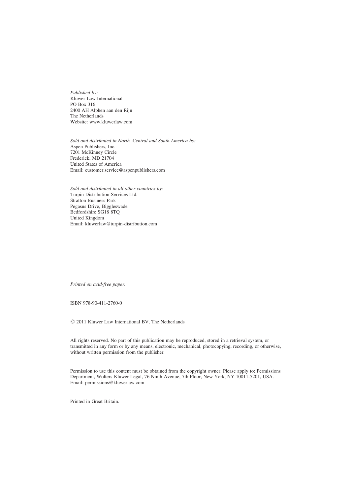Published by: Kluwer Law International PO Box 316 2400 AH Alphen aan den Rijn The Netherlands Website: www.kluwerlaw.com

Sold and distributed in North, Central and South America by: Aspen Publishers, Inc. 7201 McKinney Circle Frederick, MD 21704 United States of America Email: customer.service@aspenpublishers.com

Sold and distributed in all other countries by: Turpin Distribution Services Ltd. Stratton Business Park Pegasus Drive, Biggleswade Bedfordshire SG18 8TQ United Kingdom Email: kluwerlaw@turpin-distribution.com

Printed on acid-free paper.

ISBN 978-90-411-2760-0

 $© 2011 Kluwer Law International BV, The Netherlands$ 

All rights reserved. No part of this publication may be reproduced, stored in a retrieval system, or transmitted in any form or by any means, electronic, mechanical, photocopying, recording, or otherwise, without written permission from the publisher.

Permission to use this content must be obtained from the copyright owner. Please apply to: Permissions Department, Wolters Kluwer Legal, 76 Ninth Avenue, 7th Floor, New York, NY 10011-5201, USA. Email: permissions@kluwerlaw.com

Printed in Great Britain.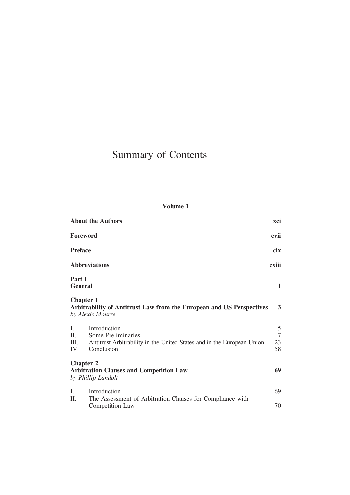# Summary of Contents

## Volume 1

|                          | <b>About the Authors</b>                                                                                                   | xci                       |
|--------------------------|----------------------------------------------------------------------------------------------------------------------------|---------------------------|
|                          | Foreword                                                                                                                   | cvii                      |
| <b>Preface</b>           |                                                                                                                            | cix                       |
|                          | <b>Abbreviations</b>                                                                                                       | cxiii                     |
| Part I                   | <b>General</b>                                                                                                             | 1                         |
|                          | <b>Chapter 1</b><br>Arbitrability of Antitrust Law from the European and US Perspectives<br>by Alexis Mourre               | 3                         |
| I.<br>II.<br>III.<br>IV. | Introduction<br>Some Preliminaries<br>Antitrust Arbitrability in the United States and in the European Union<br>Conclusion | $\frac{5}{7}$<br>23<br>58 |
|                          | <b>Chapter 2</b><br><b>Arbitration Clauses and Competition Law</b><br>by Phillip Landolt                                   | 69                        |
| I.                       | Introduction                                                                                                               | 69                        |
| Π.                       | The Assessment of Arbitration Clauses for Compliance with<br>Competition Law                                               | 70                        |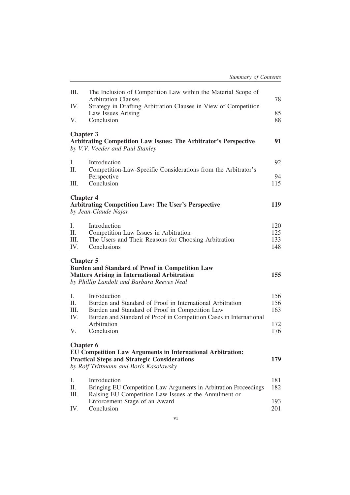| III.              | The Inclusion of Competition Law within the Material Scope of<br><b>Arbitration Clauses</b>                                                                 | 78                |
|-------------------|-------------------------------------------------------------------------------------------------------------------------------------------------------------|-------------------|
| IV.               | Strategy in Drafting Arbitration Clauses in View of Competition                                                                                             |                   |
| V.                | Law Issues Arising<br>Conclusion                                                                                                                            | 85<br>88          |
| <b>Chapter 3</b>  | <b>Arbitrating Competition Law Issues: The Arbitrator's Perspective</b><br>by V.V. Veeder and Paul Stanley                                                  | 91                |
| Ι.<br>II.         | Introduction<br>Competition-Law-Specific Considerations from the Arbitrator's                                                                               | 92<br>94          |
| Ш.                | Perspective<br>Conclusion                                                                                                                                   | 115               |
| <b>Chapter 4</b>  | <b>Arbitrating Competition Law: The User's Perspective</b><br>by Jean-Claude Najar                                                                          | 119               |
| Ι.                | Introduction                                                                                                                                                | 120               |
| II.<br>III.       | Competition Law Issues in Arbitration<br>The Users and Their Reasons for Choosing Arbitration                                                               | 125<br>133        |
| IV.               | Conclusions                                                                                                                                                 | 148               |
| <b>Chapter 5</b>  |                                                                                                                                                             |                   |
|                   | <b>Burden and Standard of Proof in Competition Law</b><br><b>Matters Arising in International Arbitration</b><br>by Phillip Landolt and Barbara Reeves Neal | 155               |
| Ι.<br>II.<br>III. | Introduction<br>Burden and Standard of Proof in International Arbitration<br>Burden and Standard of Proof in Competition Law                                | 156<br>156<br>163 |
| IV.<br>V.         | Burden and Standard of Proof in Competition Cases in International<br>Arbitration<br>Conclusion                                                             | 172<br>176        |
| <b>Chapter 6</b>  | EU Competition Law Arguments in International Arbitration:<br><b>Practical Steps and Strategic Considerations</b><br>by Rolf Trittmann and Boris Kasolowsky | 179               |
| Ι.<br>II.         | Introduction<br>Bringing EU Competition Law Arguments in Arbitration Proceedings                                                                            | 181<br>182        |
| III.<br>IV.       | Raising EU Competition Law Issues at the Annulment or<br>Enforcement Stage of an Award<br>Conclusion                                                        | 193<br>201        |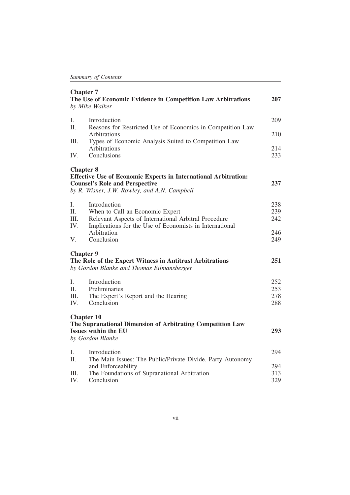|             | <b>Chapter 7</b><br>The Use of Economic Evidence in Competition Law Arbitrations<br>by Mike Walker                                 | 207        |
|-------------|------------------------------------------------------------------------------------------------------------------------------------|------------|
| I.<br>II.   | Introduction<br>Reasons for Restricted Use of Economics in Competition Law                                                         | 209        |
|             | Arbitrations                                                                                                                       | 210        |
| III.        | Types of Economic Analysis Suited to Competition Law                                                                               |            |
| IV.         | Arbitrations<br>Conclusions                                                                                                        | 214<br>233 |
|             | <b>Chapter 8</b><br><b>Effective Use of Economic Experts in International Arbitration:</b>                                         |            |
|             | <b>Counsel's Role and Perspective</b><br>by R. Wisner, J.W. Rowley, and A.N. Campbell                                              | 237        |
| I.          | Introduction                                                                                                                       | 238        |
| II.         | When to Call an Economic Expert                                                                                                    | 239        |
| III.<br>IV. | Relevant Aspects of International Arbitral Procedure<br>Implications for the Use of Economists in International                    | 242        |
|             | Arbitration                                                                                                                        | 246        |
| V.          | Conclusion                                                                                                                         | 249        |
|             | <b>Chapter 9</b><br>The Role of the Expert Witness in Antitrust Arbitrations<br>by Gordon Blanke and Thomas Eilmansberger          | 251        |
| L           | Introduction                                                                                                                       | 252        |
| II.         | Preliminaries                                                                                                                      | 253        |
| III.        | The Expert's Report and the Hearing                                                                                                | 278        |
| $IV_{-}$    | Conclusion                                                                                                                         | 288        |
|             | <b>Chapter 10</b><br>The Supranational Dimension of Arbitrating Competition Law<br><b>Issues within the EU</b><br>by Gordon Blanke | 293        |
|             |                                                                                                                                    |            |
| L.          | Introduction                                                                                                                       | 294        |
| II.         | The Main Issues: The Public/Private Divide, Party Autonomy                                                                         |            |
|             | and Enforceability                                                                                                                 | 294        |
| Ш.          | The Foundations of Supranational Arbitration                                                                                       | 313        |
| IV.         | Conclusion                                                                                                                         | 329        |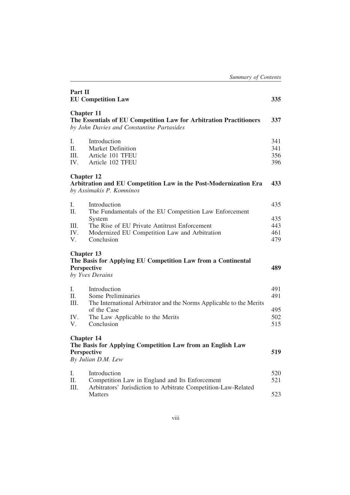| Part II                  | <b>EU Competition Law</b>                                                                                                                                                       | 335                      |
|--------------------------|---------------------------------------------------------------------------------------------------------------------------------------------------------------------------------|--------------------------|
|                          | <b>Chapter 11</b><br>The Essentials of EU Competition Law for Arbitration Practitioners<br>by John Davies and Constantine Partasides                                            | 337                      |
| Ι.<br>II.<br>III.<br>IV. | Introduction<br><b>Market Definition</b><br>Article 101 TFEU<br>Article 102 TFEU                                                                                                | 341<br>341<br>356<br>396 |
|                          | <b>Chapter 12</b><br>Arbitration and EU Competition Law in the Post-Modernization Era<br>by Assimakis P. Komninos                                                               | 433                      |
| Ι.<br>II.                | Introduction                                                                                                                                                                    | 435                      |
| III.<br>IV.<br>V.        | The Fundamentals of the EU Competition Law Enforcement<br>System<br>The Rise of EU Private Antitrust Enforcement<br>Modernized EU Competition Law and Arbitration<br>Conclusion |                          |
|                          | <b>Chapter 13</b><br>The Basis for Applying EU Competition Law from a Continental<br><b>Perspective</b><br>by Yves Derains                                                      | 489                      |
| Ι.<br>II.<br>III.        | Introduction<br>Some Preliminaries                                                                                                                                              | 491<br>491               |
| IV.<br>V.                | The International Arbitrator and the Norms Applicable to the Merits<br>of the Case<br>The Law Applicable to the Merits<br>Conclusion                                            | 495<br>502<br>515        |
|                          | <b>Chapter 14</b><br>The Basis for Applying Competition Law from an English Law<br><b>Perspective</b><br>By Julian D.M. Lew                                                     | 519                      |
| Ι.<br>II.                | Introduction<br>Competition Law in England and Its Enforcement                                                                                                                  | 520<br>521               |
| III.                     | Arbitrators' Jurisdiction to Arbitrate Competition-Law-Related<br>Matters                                                                                                       | 523                      |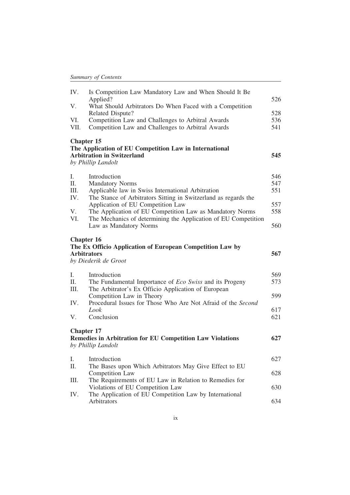| IV.               | Is Competition Law Mandatory Law and When Should It Be<br>Applied?                                                | 526 |
|-------------------|-------------------------------------------------------------------------------------------------------------------|-----|
| V.                | What Should Arbitrators Do When Faced with a Competition<br>Related Dispute?                                      | 528 |
| VI.               | Competition Law and Challenges to Arbitral Awards                                                                 | 536 |
| VII.              | Competition Law and Challenges to Arbitral Awards                                                                 | 541 |
|                   |                                                                                                                   |     |
| <b>Chapter 15</b> | The Application of EU Competition Law in International<br><b>Arbitration in Switzerland</b><br>by Phillip Landolt | 545 |
| Ι.                | Introduction                                                                                                      | 546 |
| II.               | <b>Mandatory Norms</b>                                                                                            | 547 |
| III.              | Applicable law in Swiss International Arbitration                                                                 | 551 |
| IV.               | The Stance of Arbitrators Sitting in Switzerland as regards the                                                   |     |
|                   | Application of EU Competition Law                                                                                 | 557 |
| V.                | The Application of EU Competition Law as Mandatory Norms                                                          | 558 |
| VI.               | The Mechanics of determining the Application of EU Competition                                                    |     |
|                   | Law as Mandatory Norms                                                                                            | 560 |
| <b>Chapter 16</b> | The Ex Officio Application of European Competition Law by<br><b>Arbitrators</b><br>by Diederik de Groot           | 567 |
| L.                | Introduction                                                                                                      | 569 |
| II.               | The Fundamental Importance of <i>Eco Swiss</i> and its Progeny                                                    | 573 |
| Ш.                | The Arbitrator's Ex Officio Application of European                                                               |     |
|                   | Competition Law in Theory                                                                                         | 599 |
| IV.               | Procedural Issues for Those Who Are Not Afraid of the Second                                                      |     |
|                   | Look                                                                                                              | 617 |
| V.                | Conclusion                                                                                                        | 621 |
|                   | <b>Chapter 17</b>                                                                                                 |     |
|                   | <b>Remedies in Arbitration for EU Competition Law Violations</b>                                                  | 627 |
|                   | by Phillip Landolt                                                                                                |     |
| Ι.                | Introduction                                                                                                      | 627 |
| Π.                | The Bases upon Which Arbitrators May Give Effect to EU                                                            |     |
|                   | Competition Law                                                                                                   | 628 |
| Ш.                | The Requirements of EU Law in Relation to Remedies for                                                            |     |
|                   | Violations of EU Competition Law                                                                                  | 630 |
| IV.               | The Application of EU Competition Law by International<br>Arbitrators                                             | 634 |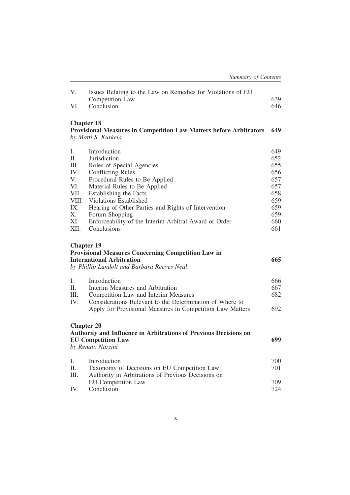| V.<br>VI.                                                                         | Issues Relating to the Law on Remedies for Violations of EU<br>Competition Law<br>Conclusion                                                                                                                                                                                                                                                                        | 639<br>646                                                                       |
|-----------------------------------------------------------------------------------|---------------------------------------------------------------------------------------------------------------------------------------------------------------------------------------------------------------------------------------------------------------------------------------------------------------------------------------------------------------------|----------------------------------------------------------------------------------|
|                                                                                   | <b>Chapter 18</b><br><b>Provisional Measures in Competition Law Matters before Arbitrators</b><br>by Matti S. Kurkela                                                                                                                                                                                                                                               | 649                                                                              |
| Ι.<br>Π.<br>III.<br>IV.<br>V.<br>VI.<br>VII.<br>VIII.<br>IX.<br>X.<br>XI.<br>XII. | Introduction<br>Jurisdiction<br>Roles of Special Agencies<br><b>Conflicting Rules</b><br>Procedural Rules to Be Applied<br>Material Rules to Be Applied<br>Establishing the Facts<br><b>Violations Established</b><br>Hearing of Other Parties and Rights of Intervention<br>Forum Shopping<br>Enforceability of the Interim Arbitral Award or Order<br>Conclusions | 649<br>652<br>655<br>656<br>657<br>657<br>658<br>659<br>659<br>659<br>660<br>661 |
|                                                                                   | <b>Chapter 19</b><br><b>Provisional Measures Concerning Competition Law in</b><br><b>International Arbitration</b><br>by Phillip Landolt and Barbara Reeves Neal                                                                                                                                                                                                    | 665                                                                              |
| I.<br>II.<br>Ш.<br>IV.                                                            | Introduction<br>Interim Measures and Arbitration<br>Competition Law and Interim Measures<br>Considerations Relevant to the Determination of Where to<br>Apply for Provisional Measures in Competition Law Matters                                                                                                                                                   | 666<br>667<br>682<br>692                                                         |
|                                                                                   | <b>Chapter 20</b><br>Authority and Influence in Arbitrations of Previous Decisions on<br><b>EU Competition Law</b><br>by Renato Nazzini                                                                                                                                                                                                                             | 699                                                                              |
| Ι.<br>Π.<br>III.                                                                  | Introduction<br>Taxonomy of Decisions on EU Competition Law<br>Authority in Arbitrations of Previous Decisions on<br><b>EU</b> Competition Law                                                                                                                                                                                                                      | 700<br>701<br>709                                                                |
| IV.                                                                               | Conclusion                                                                                                                                                                                                                                                                                                                                                          | 724                                                                              |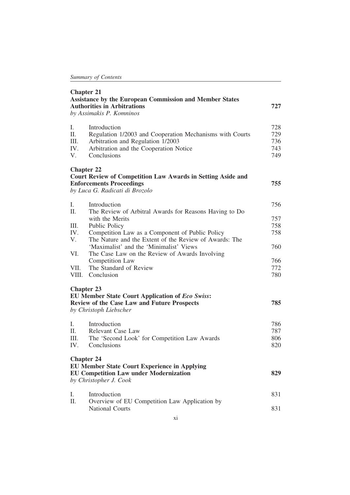| <b>Chapter 21</b><br><b>Assistance by the European Commission and Member States</b><br><b>Authorities in Arbitrations</b><br>by Assimakis P. Komninos |                                                                                                                                                                        | 727                             |
|-------------------------------------------------------------------------------------------------------------------------------------------------------|------------------------------------------------------------------------------------------------------------------------------------------------------------------------|---------------------------------|
| Ι.<br>Π.<br>III.<br>IV.<br>V.                                                                                                                         | Introduction<br>Regulation 1/2003 and Cooperation Mechanisms with Courts<br>Arbitration and Regulation 1/2003<br>Arbitration and the Cooperation Notice<br>Conclusions | 728<br>729<br>736<br>743<br>749 |
|                                                                                                                                                       | <b>Chapter 22</b><br><b>Court Review of Competition Law Awards in Setting Aside and</b><br><b>Enforcements Proceedings</b><br>by Luca G. Radicati di Brozolo           | 755                             |
| I.                                                                                                                                                    | Introduction                                                                                                                                                           | 756                             |
| II.                                                                                                                                                   | The Review of Arbitral Awards for Reasons Having to Do                                                                                                                 |                                 |
| Ш.                                                                                                                                                    | with the Merits<br>Public Policy                                                                                                                                       | 757<br>758                      |
| IV.                                                                                                                                                   | Competition Law as a Component of Public Policy                                                                                                                        | 758                             |
| V.                                                                                                                                                    | The Nature and the Extent of the Review of Awards: The                                                                                                                 |                                 |
|                                                                                                                                                       | 'Maximalist' and the 'Minimalist' Views                                                                                                                                | 760                             |
| VI.                                                                                                                                                   | The Case Law on the Review of Awards Involving                                                                                                                         |                                 |
|                                                                                                                                                       | Competition Law                                                                                                                                                        | 766                             |
| VII.                                                                                                                                                  | The Standard of Review                                                                                                                                                 | 772                             |
| VIII.                                                                                                                                                 | Conclusion                                                                                                                                                             | 780                             |
|                                                                                                                                                       | <b>Chapter 23</b><br><b>EU Member State Court Application of Eco Swiss:</b>                                                                                            |                                 |
|                                                                                                                                                       | <b>Review of the Case Law and Future Prospects</b><br>by Christoph Liebscher                                                                                           | 785                             |
| Ι.                                                                                                                                                    | Introduction                                                                                                                                                           | 786                             |
| II.                                                                                                                                                   | Relevant Case Law                                                                                                                                                      | 787                             |
| III.                                                                                                                                                  | The 'Second Look' for Competition Law Awards                                                                                                                           | 806                             |
| IV.                                                                                                                                                   | Conclusions                                                                                                                                                            | 820                             |
|                                                                                                                                                       | <b>Chapter 24</b><br><b>EU Member State Court Experience in Applying</b><br><b>EU Competition Law under Modernization</b><br>by Christopher J. Cook                    | 829                             |
| I.                                                                                                                                                    | Introduction                                                                                                                                                           | 831                             |
| II.                                                                                                                                                   | Overview of EU Competition Law Application by<br><b>National Courts</b>                                                                                                | 831                             |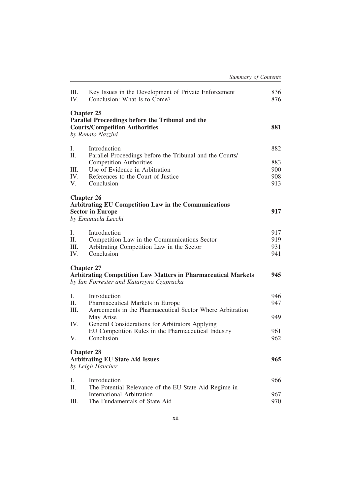| III.<br>IV. | Key Issues in the Development of Private Enforcement<br>Conclusion: What Is to Come?                                                  | 836<br>876 |
|-------------|---------------------------------------------------------------------------------------------------------------------------------------|------------|
|             | <b>Chapter 25</b><br>Parallel Proceedings before the Tribunal and the<br><b>Courts/Competition Authorities</b><br>by Renato Nazzini   | 881        |
| Ι.<br>II.   | Introduction<br>Parallel Proceedings before the Tribunal and the Courts/                                                              | 882        |
|             | <b>Competition Authorities</b>                                                                                                        | 883        |
| III.        | Use of Evidence in Arbitration                                                                                                        | 900        |
| IV.         | References to the Court of Justice                                                                                                    | 908        |
| V.          | Conclusion                                                                                                                            | 913        |
|             | <b>Chapter 26</b><br><b>Arbitrating EU Competition Law in the Communications</b>                                                      |            |
|             | <b>Sector in Europe</b><br>by Emanuela Lecchi                                                                                         | 917        |
| I.          | Introduction                                                                                                                          | 917        |
| Π.          | Competition Law in the Communications Sector                                                                                          | 919        |
| III.        | Arbitrating Competition Law in the Sector                                                                                             | 931        |
| IV.         | Conclusion                                                                                                                            | 941        |
|             | <b>Chapter 27</b><br><b>Arbitrating Competition Law Matters in Pharmaceutical Markets</b><br>by Ian Forrester and Katarzyna Czapracka | 945        |
| I.          | Introduction                                                                                                                          | 946        |
| Π.          | Pharmaceutical Markets in Europe                                                                                                      | 947        |
| Ш.          | Agreements in the Pharmaceutical Sector Where Arbitration                                                                             |            |
| IV.         | May Arise<br>General Considerations for Arbitrators Applying                                                                          | 949        |
|             | EU Competition Rules in the Pharmaceutical Industry                                                                                   | 961        |
| V.          | Conclusion                                                                                                                            | 962        |
|             | <b>Chapter 28</b><br><b>Arbitrating EU State Aid Issues</b><br>by Leigh Hancher                                                       | 965        |
| Ι.          | Introduction                                                                                                                          | 966        |
| П.          | The Potential Relevance of the EU State Aid Regime in                                                                                 |            |
|             | International Arbitration                                                                                                             | 967        |
| Ш.          | The Fundamentals of State Aid                                                                                                         | 970        |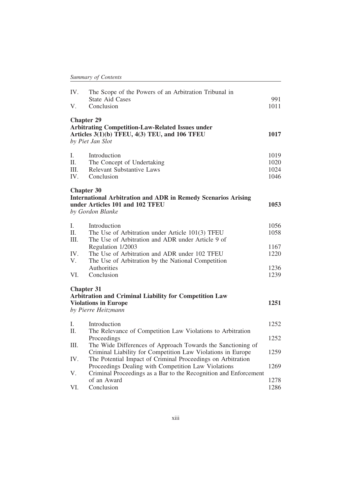| IV.  | The Scope of the Powers of an Arbitration Tribunal in                |      |
|------|----------------------------------------------------------------------|------|
|      | <b>State Aid Cases</b>                                               | 991  |
| V.   | Conclusion                                                           | 1011 |
|      | <b>Chapter 29</b>                                                    |      |
|      | <b>Arbitrating Competition-Law-Related Issues under</b>              |      |
|      | Articles 3(1)(b) TFEU, 4(3) TEU, and 106 TFEU                        | 1017 |
|      | by Piet Jan Slot                                                     |      |
| Ι.   | Introduction                                                         | 1019 |
| II.  | The Concept of Undertaking                                           | 1020 |
| Ш.   | <b>Relevant Substantive Laws</b>                                     | 1024 |
| IV.  | Conclusion                                                           | 1046 |
|      | <b>Chapter 30</b>                                                    |      |
|      | <b>International Arbitration and ADR in Remedy Scenarios Arising</b> |      |
|      | under Articles 101 and 102 TFEU                                      | 1053 |
|      | by Gordon Blanke                                                     |      |
| L.   | Introduction                                                         | 1056 |
| II.  | The Use of Arbitration under Article 101(3) TFEU                     | 1058 |
| III. | The Use of Arbitration and ADR under Article 9 of                    |      |
|      | Regulation 1/2003                                                    | 1167 |
| IV.  | The Use of Arbitration and ADR under 102 TFEU                        | 1220 |
| V.   | The Use of Arbitration by the National Competition                   |      |
|      | Authorities                                                          | 1236 |
| VI.  | Conclusion                                                           | 1239 |
|      | <b>Chapter 31</b>                                                    |      |
|      | <b>Arbitration and Criminal Liability for Competition Law</b>        |      |
|      | <b>Violations in Europe</b>                                          | 1251 |
|      | by Pierre Heitzmann                                                  |      |
| Ι.   | Introduction                                                         | 1252 |
| II.  | The Relevance of Competition Law Violations to Arbitration           |      |
|      | Proceedings                                                          | 1252 |
| Ш.   | The Wide Differences of Approach Towards the Sanctioning of          |      |
|      | Criminal Liability for Competition Law Violations in Europe          | 1259 |
| IV.  | The Potential Impact of Criminal Proceedings on Arbitration          |      |
|      | Proceedings Dealing with Competition Law Violations                  | 1269 |
| V.   | Criminal Proceedings as a Bar to the Recognition and Enforcement     |      |
|      | of an Award                                                          | 1278 |
| VI.  | Conclusion                                                           | 1286 |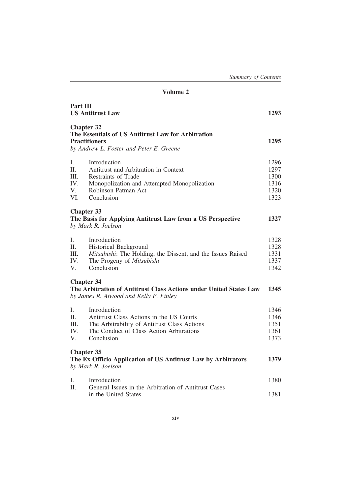### Volume 2

| Part III                              | <b>US Antitrust Law</b>                                                                                                                                            | 1293                                         |
|---------------------------------------|--------------------------------------------------------------------------------------------------------------------------------------------------------------------|----------------------------------------------|
| <b>Chapter 32</b>                     | The Essentials of US Antitrust Law for Arbitration<br><b>Practitioners</b><br>by Andrew L. Foster and Peter E. Greene                                              | 1295                                         |
| Ι.<br>II.<br>III.<br>IV.<br>V.<br>VI. | Introduction<br>Antitrust and Arbitration in Context<br>Restraints of Trade<br>Monopolization and Attempted Monopolization<br>Robinson-Patman Act<br>Conclusion    | 1296<br>1297<br>1300<br>1316<br>1320<br>1323 |
| <b>Chapter 33</b>                     | The Basis for Applying Antitrust Law from a US Perspective<br>by Mark R. Joelson                                                                                   | 1327                                         |
| L.<br>H.<br>III.<br>IV.<br>V.         | Introduction<br>Historical Background<br>Mitsubishi: The Holding, the Dissent, and the Issues Raised<br>The Progeny of Mitsubishi<br>Conclusion                    | 1328<br>1328<br>1331<br>1337<br>1342         |
| <b>Chapter 34</b>                     | The Arbitration of Antitrust Class Actions under United States Law<br>by James R. Atwood and Kelly P. Finley                                                       | 1345                                         |
| L<br>II.<br>III.<br>IV.<br>V.         | Introduction<br>Antitrust Class Actions in the US Courts<br>The Arbitrability of Antitrust Class Actions<br>The Conduct of Class Action Arbitrations<br>Conclusion | 1346<br>1346<br>1351<br>1361<br>1373         |
| <b>Chapter 35</b>                     | The Ex Officio Application of US Antitrust Law by Arbitrators<br>by Mark R. Joelson                                                                                | 1379                                         |
| Ι.<br>II.                             | Introduction<br>General Issues in the Arbitration of Antitrust Cases<br>in the United States                                                                       | 1380<br>1381                                 |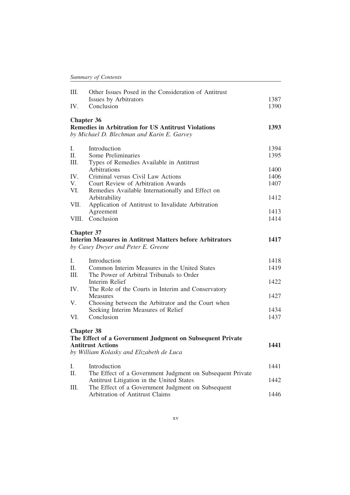| III.  | Other Issues Posed in the Consideration of Antitrust                                 |      |
|-------|--------------------------------------------------------------------------------------|------|
|       | Issues by Arbitrators                                                                | 1387 |
| IV.   | Conclusion                                                                           | 1390 |
|       | <b>Chapter 36</b>                                                                    |      |
|       | <b>Remedies in Arbitration for US Antitrust Violations</b>                           | 1393 |
|       | by Michael D. Blechman and Karin E. Garvey                                           |      |
| Ι.    | Introduction                                                                         | 1394 |
| II.   | Some Preliminaries                                                                   | 1395 |
| III.  | Types of Remedies Available in Antitrust                                             |      |
|       | Arbitrations                                                                         | 1400 |
| IV.   | Criminal versus Civil Law Actions                                                    | 1406 |
| V.    | Court Review of Arbitration Awards                                                   | 1407 |
| VI.   | Remedies Available Internationally and Effect on                                     |      |
|       | Arbitrability                                                                        | 1412 |
| VII.  | Application of Antitrust to Invalidate Arbitration<br>Agreement                      | 1413 |
| VIII. | Conclusion                                                                           | 1414 |
|       |                                                                                      |      |
|       | <b>Chapter 37</b>                                                                    |      |
|       | <b>Interim Measures in Antitrust Matters before Arbitrators</b>                      | 1417 |
|       | by Casey Dwyer and Peter E. Greene                                                   |      |
| Ι.    | Introduction                                                                         | 1418 |
| II.   | Common Interim Measures in the United States                                         | 1419 |
| III.  | The Power of Arbitral Tribunals to Order                                             |      |
|       | Interim Relief                                                                       | 1422 |
| IV.   | The Role of the Courts in Interim and Conservatory                                   |      |
|       | <b>Measures</b>                                                                      | 1427 |
| V.    | Choosing between the Arbitrator and the Court when                                   |      |
|       | Seeking Interim Measures of Relief                                                   | 1434 |
| VI.   | Conclusion                                                                           | 1437 |
|       | <b>Chapter 38</b>                                                                    |      |
|       | The Effect of a Government Judgment on Subsequent Private                            |      |
|       | <b>Antitrust Actions</b>                                                             | 1441 |
|       | by William Kolasky and Elizabeth de Luca                                             |      |
|       |                                                                                      |      |
| I.    | Introduction                                                                         | 1441 |
| II.   | The Effect of a Government Judgment on Subsequent Private                            |      |
|       | Antitrust Litigation in the United States                                            | 1442 |
| III.  | The Effect of a Government Judgment on Subsequent<br>Arbitration of Antitrust Claims | 1446 |
|       |                                                                                      |      |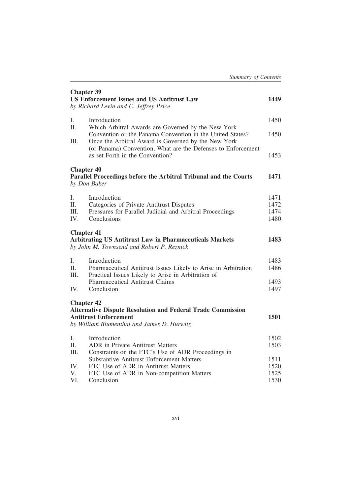| <b>Chapter 39</b><br><b>US Enforcement Issues and US Antitrust Law</b><br>by Richard Levin and C. Jeffrey Price |                                                                                                                                                                        | 1449 |
|-----------------------------------------------------------------------------------------------------------------|------------------------------------------------------------------------------------------------------------------------------------------------------------------------|------|
| Ι.<br>II.                                                                                                       | Introduction                                                                                                                                                           | 1450 |
| HI.                                                                                                             | Which Arbitral Awards are Governed by the New York<br>Convention or the Panama Convention in the United States?<br>Once the Arbitral Award is Governed by the New York | 1450 |
|                                                                                                                 | (or Panama) Convention, What are the Defenses to Enforcement<br>as set Forth in the Convention?                                                                        | 1453 |
| <b>Chapter 40</b>                                                                                               | Parallel Proceedings before the Arbitral Tribunal and the Courts<br>by Don Baker                                                                                       | 1471 |
| L.                                                                                                              | Introduction                                                                                                                                                           | 1471 |
| II.                                                                                                             | Categories of Private Antitrust Disputes                                                                                                                               | 1472 |
| HL.                                                                                                             | Pressures for Parallel Judicial and Arbitral Proceedings                                                                                                               | 1474 |
| IV.                                                                                                             | Conclusions                                                                                                                                                            | 1480 |
| <b>Chapter 41</b>                                                                                               | <b>Arbitrating US Antitrust Law in Pharmaceuticals Markets</b><br>by John M. Townsend and Robert P. Reznick                                                            | 1483 |
| L.                                                                                                              | Introduction                                                                                                                                                           | 1483 |
| H.<br>HI.                                                                                                       | Pharmaceutical Antitrust Issues Likely to Arise in Arbitration<br>Practical Issues Likely to Arise in Arbitration of                                                   | 1486 |
|                                                                                                                 | Pharmaceutical Antitrust Claims                                                                                                                                        | 1493 |
| IV.                                                                                                             | Conclusion                                                                                                                                                             | 1497 |
| <b>Chapter 42</b>                                                                                               | <b>Alternative Dispute Resolution and Federal Trade Commission</b>                                                                                                     |      |
|                                                                                                                 | <b>Antitrust Enforcement</b>                                                                                                                                           | 1501 |
|                                                                                                                 | by William Blumenthal and James D. Hurwitz                                                                                                                             |      |
| L.                                                                                                              | Introduction                                                                                                                                                           | 1502 |
| II.                                                                                                             | <b>ADR</b> in Private Antitrust Matters                                                                                                                                | 1503 |
| Ш.                                                                                                              | Constraints on the FTC's Use of ADR Proceedings in                                                                                                                     |      |
|                                                                                                                 | <b>Substantive Antitrust Enforcement Matters</b>                                                                                                                       | 1511 |
| IV.                                                                                                             | FTC Use of ADR in Antitrust Matters                                                                                                                                    | 1520 |
| V.                                                                                                              | FTC Use of ADR in Non-competition Matters                                                                                                                              | 1525 |
| VI.                                                                                                             | Conclusion                                                                                                                                                             | 1530 |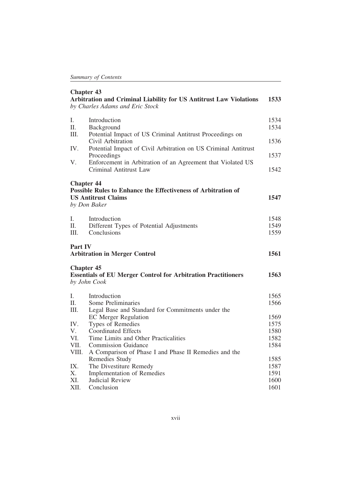| <b>Chapter 43</b><br>Arbitration and Criminal Liability for US Antitrust Law Violations<br>1533<br>by Charles Adams and Eric Stock |                                                                                                                                  |              |  |
|------------------------------------------------------------------------------------------------------------------------------------|----------------------------------------------------------------------------------------------------------------------------------|--------------|--|
| L.<br>II.<br>III.                                                                                                                  | Introduction<br>Background<br>Potential Impact of US Criminal Antitrust Proceedings on                                           | 1534<br>1534 |  |
|                                                                                                                                    | Civil Arbitration                                                                                                                | 1536         |  |
| IV.                                                                                                                                | Potential Impact of Civil Arbitration on US Criminal Antitrust<br>Proceedings                                                    | 1537         |  |
| V.                                                                                                                                 | Enforcement in Arbitration of an Agreement that Violated US<br><b>Criminal Antitrust Law</b>                                     | 1542         |  |
|                                                                                                                                    | <b>Chapter 44</b><br>Possible Rules to Enhance the Effectiveness of Arbitration of<br><b>US Antitrust Claims</b><br>by Don Baker | 1547         |  |
| I.                                                                                                                                 | Introduction                                                                                                                     | 1548         |  |
| II.                                                                                                                                | Different Types of Potential Adjustments                                                                                         | 1549         |  |
| III.                                                                                                                               | Conclusions                                                                                                                      | 1559         |  |
| Part IV<br><b>Arbitration in Merger Control</b>                                                                                    |                                                                                                                                  |              |  |
|                                                                                                                                    | <b>Chapter 45</b><br><b>Essentials of EU Merger Control for Arbitration Practitioners</b><br>by John Cook                        | 1563         |  |
| L                                                                                                                                  | Introduction                                                                                                                     | 1565         |  |
| II.                                                                                                                                | Some Preliminaries                                                                                                               | 1566         |  |
| Ш.                                                                                                                                 | Legal Base and Standard for Commitments under the                                                                                |              |  |
|                                                                                                                                    | <b>EC</b> Merger Regulation                                                                                                      | 1569         |  |
| IV.                                                                                                                                | Types of Remedies                                                                                                                | 1575         |  |
| V.                                                                                                                                 | <b>Coordinated Effects</b>                                                                                                       | 1580         |  |
| VI.                                                                                                                                | Time Limits and Other Practicalities                                                                                             | 1582         |  |
| VII.                                                                                                                               | <b>Commission Guidance</b>                                                                                                       | 1584         |  |
| VIII.                                                                                                                              | A Comparison of Phase I and Phase II Remedies and the                                                                            |              |  |
| IX.                                                                                                                                | Remedies Study<br>The Divestiture Remedy                                                                                         | 1585<br>1587 |  |
| X.                                                                                                                                 | <b>Implementation of Remedies</b>                                                                                                | 1591         |  |
| XI.                                                                                                                                | Judicial Review                                                                                                                  | 1600         |  |
| XII.                                                                                                                               | Conclusion                                                                                                                       | 1601         |  |
|                                                                                                                                    |                                                                                                                                  |              |  |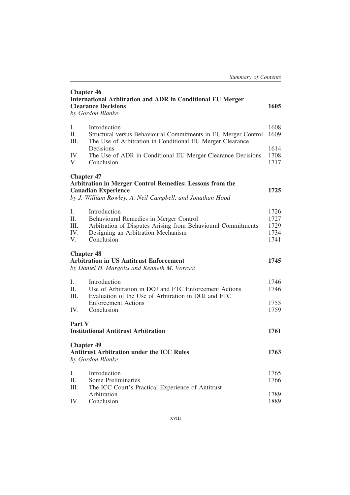| <b>Chapter 46</b><br><b>International Arbitration and ADR in Conditional EU Merger</b><br><b>Clearance Decisions</b><br>1605<br>by Gordon Blanke                         |                                                                                                                                                                            |                                      |  |  |
|--------------------------------------------------------------------------------------------------------------------------------------------------------------------------|----------------------------------------------------------------------------------------------------------------------------------------------------------------------------|--------------------------------------|--|--|
| Ι.<br>II.<br>III.                                                                                                                                                        | Introduction<br>Structural versus Behavioural Commitments in EU Merger Control<br>The Use of Arbitration in Conditional EU Merger Clearance                                | 1608<br>1609                         |  |  |
| IV.<br>V.                                                                                                                                                                | Decisions<br>The Use of ADR in Conditional EU Merger Clearance Decisions<br>Conclusion                                                                                     |                                      |  |  |
| <b>Chapter 47</b><br>Arbitration in Merger Control Remedies: Lessons from the<br><b>Canadian Experience</b><br>by J. William Rowley, A. Neil Campbell, and Jonathan Hood |                                                                                                                                                                            | 1725                                 |  |  |
| I.<br>II.<br>III.<br>IV.<br>V.                                                                                                                                           | Introduction<br>Behavioural Remedies in Merger Control<br>Arbitration of Disputes Arising from Behavioural Commitments<br>Designing an Arbitration Mechanism<br>Conclusion | 1726<br>1727<br>1729<br>1734<br>1741 |  |  |
| <b>Chapter 48</b><br><b>Arbitration in US Antitrust Enforcement</b><br>by Daniel H. Margolis and Kenneth M. Vorrasi                                                      |                                                                                                                                                                            | 1745                                 |  |  |
| Ι.<br>II.<br>III.                                                                                                                                                        | Introduction<br>Use of Arbitration in DOJ and FTC Enforcement Actions<br>Evaluation of the Use of Arbitration in DOJ and FTC                                               | 1746<br>1746                         |  |  |
| IV.                                                                                                                                                                      | <b>Enforcement Actions</b><br>Conclusion                                                                                                                                   | 1755<br>1759                         |  |  |
| Part V<br><b>Institutional Antitrust Arbitration</b>                                                                                                                     |                                                                                                                                                                            |                                      |  |  |
| <b>Chapter 49</b>                                                                                                                                                        | <b>Antitrust Arbitration under the ICC Rules</b><br>by Gordon Blanke                                                                                                       | 1763                                 |  |  |
| Ι.<br>П.<br>III.                                                                                                                                                         | Introduction<br>Some Preliminaries<br>The ICC Court's Practical Experience of Antitrust                                                                                    | 1765<br>1766                         |  |  |
| IV.                                                                                                                                                                      | Arbitration<br>Conclusion                                                                                                                                                  | 1789<br>1889                         |  |  |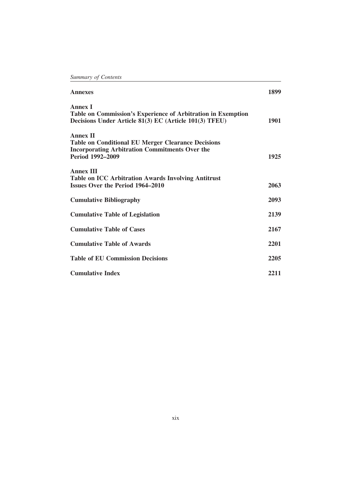| <b>Annexes</b>                                                                                                                                            | 1899 |
|-----------------------------------------------------------------------------------------------------------------------------------------------------------|------|
| <b>Annex I</b><br>Table on Commission's Experience of Arbitration in Exemption<br>Decisions Under Article 81(3) EC (Article 101(3) TFEU)                  | 1901 |
| <b>Annex II</b><br><b>Table on Conditional EU Merger Clearance Decisions</b><br><b>Incorporating Arbitration Commitments Over the</b><br>Period 1992-2009 | 1925 |
| <b>Annex III</b><br><b>Table on ICC Arbitration Awards Involving Antitrust</b><br><b>Issues Over the Period 1964–2010</b>                                 | 2063 |
| <b>Cumulative Bibliography</b>                                                                                                                            | 2093 |
| <b>Cumulative Table of Legislation</b>                                                                                                                    | 2139 |
| <b>Cumulative Table of Cases</b>                                                                                                                          | 2167 |
| <b>Cumulative Table of Awards</b>                                                                                                                         | 2201 |
| <b>Table of EU Commission Decisions</b>                                                                                                                   | 2205 |
| <b>Cumulative Index</b>                                                                                                                                   | 2211 |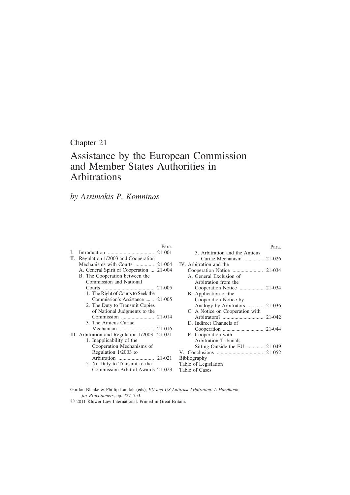## Chapter 21

## Assistance by the European Commission and Member States Authorities in Arbitrations

Para.

## by Assimakis P. Komninos

|    |                                               | rara. |
|----|-----------------------------------------------|-------|
| L  |                                               |       |
| П. | Regulation 1/2003 and Cooperation             |       |
|    | Mechanisms with Courts  21-004                |       |
|    | A. General Spirit of Cooperation  21-004      |       |
|    | B. The Cooperation between the                |       |
|    | Commission and National                       |       |
|    |                                               |       |
|    | 1. The Right of Courts to Seek the            |       |
|    | Commission's Assistance  21-005               |       |
|    | 2. The Duty to Transmit Copies                |       |
|    | of National Judgments to the                  |       |
|    |                                               |       |
|    | 3. The Amicus Curiae                          |       |
|    |                                               |       |
|    | III. Arbitration and Regulation 1/2003 21-021 |       |
|    | 1. Inapplicability of the                     |       |
|    | Cooperation Mechanisms of                     |       |
|    | Regulation 1/2003 to                          |       |
|    |                                               |       |
|    | 2. No Duty to Transmit to the                 |       |
|    | Commission Arbitral Awards 21-023             |       |

|                                 | Para. |
|---------------------------------|-------|
| 3. Arbitration and the Amicus   |       |
| Curiae Mechanism  21-026        |       |
| IV. Arbitration and the         |       |
|                                 |       |
| A. General Exclusion of         |       |
| Arbitration from the            |       |
| Cooperation Notice  21-034      |       |
| B. Application of the           |       |
| Cooperation Notice by           |       |
| Analogy by Arbitrators  21-036  |       |
| C. A Notice on Cooperation with |       |
|                                 |       |
| D. Indirect Channels of         |       |
|                                 |       |
| E. Cooperation with             |       |
| <b>Arbitration Tribunals</b>    |       |
| Sitting Outside the EU  21-049  |       |
|                                 |       |
| Bibliography                    |       |
| Table of Legislation            |       |
| Table of Cases                  |       |

Gordon Blanke & Phillip Landolt (eds), EU and US Antitrust Arbitration: A Handbook for Practitioners, pp. 727–753.

 $Q$  2011 Kluwer Law International. Printed in Great Britain.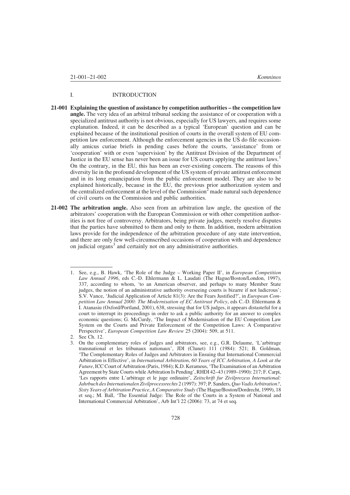#### I. INTRODUCTION

- 21-001 Explaining the question of assistance by competition authorities the competition law angle. The very idea of an arbitral tribunal seeking the assistance of or cooperation with a specialized antitrust authority is not obvious, especially for US lawyers, and requires some explanation. Indeed, it can be described as a typical 'European' question and can be explained because of the institutional position of courts in the overall system of EU competition law enforcement. Although the enforcement agencies in the US do file occasionally amicus curiae briefs in pending cases before the courts, 'assistance' from or 'cooperation' with or even 'supervision' by the Antitrust Division of the Department of Justice in the EU sense has never been an issue for US courts applying the antitrust laws.<sup>1</sup> On the contrary, in the EU, this has been an ever-existing concern. The reasons of this diversity lie in the profound development of the US system of private antitrust enforcement and in its long emancipation from the public enforcement model. They are also to be explained historically, because in the EU, the previous prior authorization system and the centralized enforcement at the level of the Commission<sup>2</sup> made natural such dependence of civil courts on the Commission and public authorities.
- 21-002 The arbitration angle. Also seen from an arbitration law angle, the question of the arbitrators' cooperation with the European Commission or with other competition authorities is not free of controversy. Arbitrators, being private judges, merely resolve disputes that the parties have submitted to them and only to them. In addition, modern arbitration laws provide for the independence of the arbitration procedure of any state intervention, and there are only few well-circumscribed occasions of cooperation with and dependence on judicial organs<sup>3</sup> and certainly not on any administrative authorities.

2. See Ch. 12.

<sup>1.</sup> See, e.g., B. Hawk, 'The Role of the Judge – Working Paper II', in European Competition Law Annual 1996, eds C.-D. Ehlermann & L. Laudati (The Hague/Boston/London, 1997), 337, according to whom, 'to an American observer, and perhaps to many Member State judges, the notion of an administrative authority overseeing courts is bizarre if not ludicrous'; S.V. Vance, 'Judicial Application of Article 81(3): Are the Fears Justified?', in European Competition Law Annual 2000: The Modernisation of EC Antitrust Policy, eds C.-D. Ehlermann & I. Atanasiu (Oxford/Portland, 2001), 638, stressing that for US judges, it appears distasteful for a court to interrupt its proceedings in order to ask a public authority for an answer to complex economic questions; G. McCurdy, 'The Impact of Modernisation of the EU Competition Law System on the Courts and Private Enforcement of the Competition Laws: A Comparative Perspective', European Competition Law Review 25 (2004): 509, at 511.

<sup>3.</sup> On the complementary roles of judges and arbitrators, see, e.g., G.R. Delaume, 'L'arbitrage transnational et les tribunaux nationaux', JDI (Clunet) 111 (1984): 521; B. Goldman, 'The Complementary Roles of Judges and Arbitrators in Ensuing that International Commercial Arbitration is Effective', in International Arbitration, 60 Years of ICC Arbitration, A Look at the Future, ICC Court of Arbitration (Paris, 1984); K.D. Kerameus, 'The Examination of an Arbitration Agreement by State Courts while Arbitration Is Pending', RHDI 42–43 (1989–1990): 217; F. Carpi, 'Les rapports entre L'arbitrage et le juge ordinaire', Zeitschrift fur Zivilprozess International: Jahrbuch des Internationalen Zivilprocessrechts 2 (1997): 397; P. Sanders, Quo Vadis Arbitration?, Sixty Years of Arbitration Practice, A Comparative Study (The Hague/Boston/Dordrecht, 1999), 18 et seq.; M. Ball, 'The Essential Judge: The Role of the Courts in a System of National and International Commercial Arbitration', Arb Int'l 22 (2006): 73, at 74 et seq.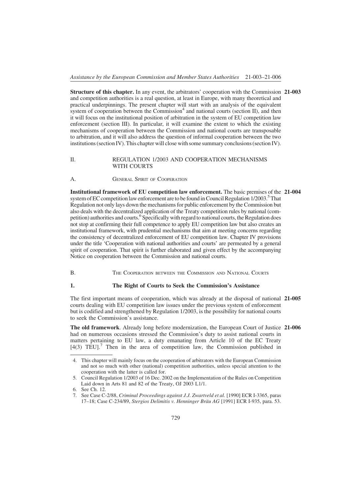Structure of this chapter. In any event, the arbitrators' cooperation with the Commission 21-003 and competition authorities is a real question, at least in Europe, with many theoretical and practical underpinnings. The present chapter will start with an analysis of the equivalent system of cooperation between the Commission<sup>4</sup> and national courts (section II), and then it will focus on the institutional position of arbitration in the system of EU competition law enforcement (section III). In particular, it will examine the extent to which the existing mechanisms of cooperation between the Commission and national courts are transposable to arbitration, and it will also address the question of informal cooperation between the two institutions (section IV). This chapter will close with some summary conclusions (section IV).

#### II. REGULATION 1/2003 AND COOPERATION MECHANISMS WITH COURTS

A. **GENERAL SPIRIT OF COOPERATION** 

Institutional framework of EU competition law enforcement. The basic premises of the 21-004 system of EC competition law enforcement are to be found in Council Regulation  $1/2003$ .<sup>5</sup>That Regulation not only lays down the mechanisms for public enforcement by the Commission but also deals with the decentralized application of the Treaty competition rules by national (competition) authorities and courts.<sup>6</sup> Specifically with regard to national courts, the Regulation does not stop at confirming their full competence to apply EU competition law but also creates an institutional framework, with prudential mechanisms that aim at meeting concerns regarding the consistency of decentralized enforcement of EU competition law. Chapter IV provisions under the title 'Cooperation with national authorities and courts' are permeated by a general spirit of cooperation. That spirit is further elaborated and given effect by the accompanying Notice on cooperation between the Commission and national courts.

B. THE COOPERATION BETWEEN THE COMMISSION AND NATIONAL COURTS

#### 1. The Right of Courts to Seek the Commission's Assistance

The first important means of cooperation, which was already at the disposal of national 21-005 courts dealing with EU competition law issues under the previous system of enforcement but is codified and strengthened by Regulation 1/2003, is the possibility for national courts to seek the Commission's assistance.

The old framework. Already long before modernization, the European Court of Justice 21-006 had on numerous occasions stressed the Commission's duty to assist national courts in matters pertaining to EU law, a duty emanating from Article 10 of the EC Treaty  $[4(3)$  TEU].<sup>7</sup> Then in the area of competition law, the Commission published in

<sup>4.</sup> This chapter will mainly focus on the cooperation of arbitrators with the European Commission and not so much with other (national) competition authorities, unless special attention to the cooperation with the latter is called for.

<sup>5.</sup> Council Regulation 1/2003 of 16 Dec. 2002 on the Implementation of the Rules on Competition Laid down in Arts 81 and 82 of the Treaty, OJ 2003 L1/1.

<sup>6.</sup> See Ch. 12.

<sup>7.</sup> See Case C-2/88, Criminal Proceedings against J.J. Zwartveld et al. [1990] ECR I-3365, paras 17–18; Case C-234/89, Stergios Delimitis v. Henninger Bräu AG [1991] ECR I-935, para. 53.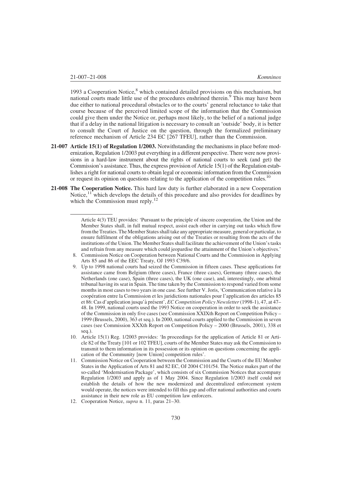1993 a Cooperation Notice, $8$  which contained detailed provisions on this mechanism, but national courts made little use of the procedures enshrined therein.<sup>9</sup> This may have been due either to national procedural obstacles or to the courts' general reluctance to take that course because of the perceived limited scope of the information that the Commission could give them under the Notice or, perhaps most likely, to the belief of a national judge that if a delay in the national litigation is necessary to consult an 'outside' body, it is better to consult the Court of Justice on the question, through the formalized preliminary reference mechanism of Article 234 EC [267 TFEU], rather than the Commission.

- 21-007 Article 15(1) of Regulation 1/2003. Notwithstanding the mechanisms in place before modernization, Regulation 1/2003 put everything in a different perspective. There were now provisions in a hard-law instrument about the rights of national courts to seek (and get) the Commission's assistance. Thus, the express provision of Article 15(1) of the Regulation establishes a right for national courts to obtain legal or economic information from the Commission or request its opinion on questions relating to the application of the competition rules.<sup>10</sup>
- 21-008 The Cooperation Notice. This hard law duty is further elaborated in a new Cooperation Notice,  $11$  which develops the details of this procedure and also provides for deadlines by which the Commission must reply. $12$

Article 4(3) TEU provides: 'Pursuant to the principle of sincere cooperation, the Union and the Member States shall, in full mutual respect, assist each other in carrying out tasks which flow from the Treaties. The Member States shall take any appropriate measure, general or particular, to ensure fulfilment of the obligations arising out of the Treaties or resulting from the acts of the institutions of the Union. The Member States shall facilitate the achievement of the Union's tasks and refrain from any measure which could jeopardise the attainment of the Union's objectives.'

<sup>8.</sup> Commission Notice on Cooperation between National Courts and the Commission in Applying Arts 85 and 86 of the EEC Treaty, OJ 1993 C39/6.

<sup>9.</sup> Up to 1998 national courts had seized the Commission in fifteen cases. These applications for assistance came from Belgium (three cases), France (three cases), Germany (three cases), the Netherlands (one case), Spain (three cases), the UK (one case), and, interestingly, one arbitral tribunal having its seat in Spain. The time taken by the Commission to respond varied from some months in most cases to two years in one case. See further V. Joris, 'Communication relative à la coope´ration entre la Commission et les juridictions nationales pour l'application des articles 85 et 86: Cas d'application jusqu'à présent', EC Competition Policy Newsletter (1998-1), 47, at 47– 48. In 1999, national courts used the 1993 Notice on cooperation in order to seek the assistance of the Commission in only five cases (see Commission XXIXth Report on Competition Policy – 1999 (Brussels, 2000), 363 et seq.). In 2000, national courts applied to the Commission in seven cases (see Commission XXXth Report on Competition Policy – 2000 (Brussels, 2001), 338 et seq.).

<sup>10.</sup> Article 15(1) Reg. 1/2003 provides: 'In proceedings for the application of Article 81 or Article 82 of the Treaty [101 or 102 TFEU], courts of the Member States may ask the Commission to transmit to them information in its possession or its opinion on questions concerning the application of the Community [now Union] competition rules'.

<sup>11.</sup> Commission Notice on Cooperation between the Commission and the Courts of the EU Member States in the Application of Arts 81 and 82 EC, OJ 2004 C101/54. The Notice makes part of the so-called 'Modernisation Package', which consists of six Commission Notices that accompany Regulation 1/2003 and apply as of 1 May 2004. Since Regulation 1/2003 itself could not establish the details of how the new modernized and decentralized enforcement system would operate, the notices were intended to fill this gap and offer national authorities and courts assistance in their new role as EU competition law enforcers.

<sup>12.</sup> Cooperation Notice, supra n. 11, paras 21–30.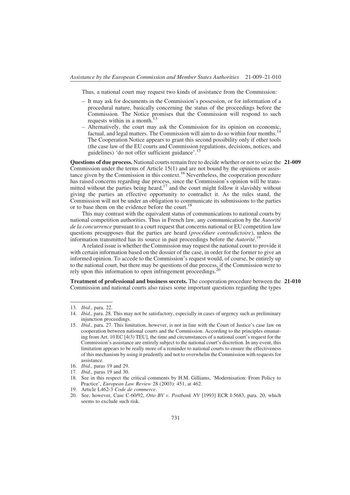Thus, a national court may request two kinds of assistance from the Commission:

- It may ask for documents in the Commission's possession, or for information of a procedural nature, basically concerning the status of the proceedings before the Commission. The Notice promises that the Commission will respond to such requests within in a month.<sup>13</sup>
- Alternatively, the court may ask the Commission for its opinion on economic, factual, and legal matters. The Commission will aim to do so within four months.<sup>14</sup> The Cooperation Notice appears to grant this second possibility only if other tools (the case law of the EU courts and Commission regulations, decisions, notices, and guidelines) 'do not offer sufficient guidance'.<sup>15</sup>

Questions of due process. National courts remain free to decide whether or not to seize the 21-009 Commission under the terms of Article 15(1) and are not bound by the opinions or assistance given by the Commission in this context.<sup>16</sup> Nevertheless, the cooperation procedure has raised concerns regarding due process, since the Commission's opinion will be transmitted without the parties being heard, $17$  and the court might follow it slavishly without giving the parties an effective opportunity to contradict it. As the rules stand, the Commission will not be under an obligation to communicate its submissions to the parties or to base them on the evidence before the court.<sup>18</sup>

This may contrast with the equivalent status of communications to national courts by national competition authorities. Thus in French law, any communication by the  $Autor$ de la concurrence pursuant to a court request that concerns national or EU competition law questions presupposes that the parties are heard (*procédure contradictoire*), unless the information transmitted has its source in past proceedings before the  $Autorite<sup>19</sup>$ .

A related issue is whether the Commission may request the national court to provide it with certain information based on the dossier of the case, in order for the former to give an informed opinion. To accede to the Commission's request would, of course, be entirely up to the national court, but there may be questions of due process, if the Commission were to rely upon this information to open infringement proceedings.<sup>20</sup>

Treatment of professional and business secrets. The cooperation procedure between the 21-010 Commission and national courts also raises some important questions regarding the types

- 16. Ibid., paras 19 and 29.
- 17. Ibid., paras 19 and 30.
- 18. See in this respect the critical comments by H.M. Gilliams, 'Modernisation: From Policy to Practice', European Law Review 28 (2003): 451, at 462.
- 19. Article L462-3 Code de commerce.
- 20. See, however, Case C-60/92, Otto BV v. Postbank NV [1993] ECR I-5683, para. 20, which seems to exclude such risk.

<sup>13.</sup> Ibid., para. 22.

<sup>14.</sup> Ibid., para. 28. This may not be satisfactory, especially in cases of urgency such as preliminary injunction proceedings.

<sup>15.</sup> Ibid., para. 27. This limitation, however, is not in line with the Court of Justice's case law on cooperation between national courts and the Commission. According to the principles emanating from Art. 10 EC [4(3) TEU], the time and circumstances of a national court's request for the Commission's assistance are entirely subject to the national court's discretion. In any event, this limitation appears to be really more of a reminder to national courts to ensure the effectiveness of this mechanism by using it prudently and not to overwhelm the Commission with requests for assistance.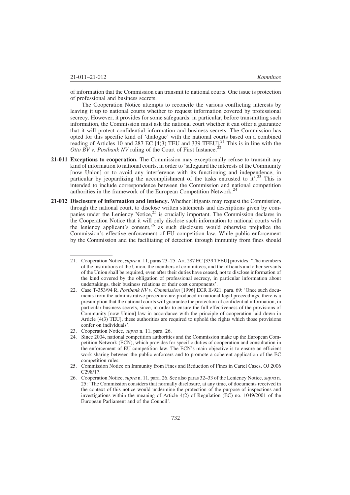of information that the Commission can transmit to national courts. One issue is protection of professional and business secrets.

The Cooperation Notice attempts to reconcile the various conflicting interests by leaving it up to national courts whether to request information covered by professional secrecy. However, it provides for some safeguards: in particular, before transmitting such information, the Commission must ask the national court whether it can offer a guarantee that it will protect confidential information and business secrets. The Commission has opted for this specific kind of 'dialogue' with the national courts based on a combined reading of Articles 10 and 287 EC  $\left[4(3)$  TEU and 339 TFEU].<sup>21</sup> This is in line with the Otto BV v. Postbank NV ruling of the Court of First Instance.<sup>2</sup>

- 21-011 Exceptions to cooperation. The Commission may exceptionally refuse to transmit any kind of information to national courts, in order to 'safeguard the interests of the Community [now Union] or to avoid any interference with its functioning and independence, in particular by jeopardizing the accomplishment of the tasks entrusted to  $it^{23}$ . This is intended to include correspondence between the Commission and national competition authorities in the framework of the European Competition Network.<sup>24</sup>
- 21-012 Disclosure of information and leniency. Whether litigants may request the Commission, through the national court, to disclose written statements and descriptions given by companies under the Leniency Notice,<sup>25</sup> is crucially important. The Commission declares in the Cooperation Notice that it will only disclose such information to national courts with the leniency applicant's consent,<sup>26</sup> as such disclosure would otherwise prejudice the Commission's effective enforcement of EU competition law. While public enforcement by the Commission and the facilitating of detection through immunity from fines should

<sup>21.</sup> Cooperation Notice, *supra* n. 11, paras 23–25. Art. 287 EC [339 TFEU] provides: 'The members of the institutions of the Union, the members of committees, and the officials and other servants of the Union shall be required, even after their duties have ceased, not to disclose information of the kind covered by the obligation of professional secrecy, in particular information about undertakings, their business relations or their cost components'.

<sup>22.</sup> Case T-353/94 R, Postbank NV v. Commission [1996] ECR II-921, para. 69: 'Once such documents from the administrative procedure are produced in national legal proceedings, there is a presumption that the national courts will guarantee the protection of confidential information, in particular business secrets, since, in order to ensure the full effectiveness of the provisions of Community [now Union] law in accordance with the principle of cooperation laid down in Article [4(3) TEU], these authorities are required to uphold the rights which those provisions confer on individuals'.

<sup>23.</sup> Cooperation Notice, supra n. 11, para. 26.

<sup>24.</sup> Since 2004, national competition authorities and the Commission make up the European Competition Network (ECN), which provides for specific duties of cooperation and consultation in the enforcement of EU competition law. The ECN's main objective is to ensure an efficient work sharing between the public enforcers and to promote a coherent application of the EC competition rules.

<sup>25.</sup> Commission Notice on Immunity from Fines and Reduction of Fines in Cartel Cases, OJ 2006 C298/17.

<sup>26.</sup> Cooperation Notice, supra n. 11, para. 26. See also paras 32–33 of the Leniency Notice, supra n. 25: 'The Commission considers that normally disclosure, at any time, of documents received in the context of this notice would undermine the protection of the purpose of inspections and investigations within the meaning of Article 4(2) of Regulation (EC) no. 1049/2001 of the European Parliament and of the Council'.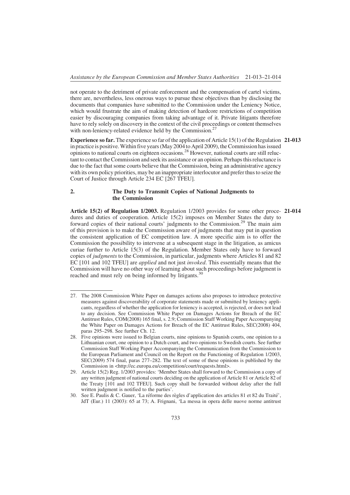not operate to the detriment of private enforcement and the compensation of cartel victims, there are, nevertheless, less onerous ways to pursue these objectives than by disclosing the documents that companies have submitted to the Commission under the Leniency Notice, which would frustrate the aim of making detection of hardcore restrictions of competition easier by discouraging companies from taking advantage of it. Private litigants therefore have to rely solely on discovery in the context of the civil proceedings or content themselves with non-leniency-related evidence held by the Commission.<sup>27</sup>

Experience so far. The experience so far of the application of Article 15(1) of the Regulation 21-013 in practice is positive. Within five years (May 2004 to April 2009), the Commission has issued opinions to national courts on eighteen occasions.28 However, national courts are still reluctant to contact the Commission and seek its assistance or an opinion. Perhaps this reluctance is due to the fact that some courts believe that the Commission, being an administrative agency with its own policy priorities, may be an inappropriate interlocutor and prefer thus to seize the Court of Justice through Article 234 EC [267 TFEU].

#### 2. The Duty to Transmit Copies of National Judgments to the Commission

Article 15(2) of Regulation 1/2003. Regulation 1/2003 provides for some other proce- 21-014 dures and duties of cooperation. Article 15(2) imposes on Member States the duty to forward copies of their national courts' judgments to the Commission.<sup>29</sup> The main aim of this provision is to make the Commission aware of judgments that may put in question the consistent application of EC competition law. A more specific aim is to offer the Commission the possibility to intervene at a subsequent stage in the litigation, as amicus curiae further to Article 15(3) of the Regulation. Member States only have to forward copies of *judgments* to the Commission, in particular, judgments where Articles 81 and 82 EC [101 and 102 TFEU] are *applied* and not just *invoked*. This essentially means that the Commission will have no other way of learning about such proceedings before judgment is reached and must rely on being informed by litigants.<sup>30</sup>

<sup>27.</sup> The 2008 Commission White Paper on damages actions also proposes to introduce protective measures against discoverability of corporate statements made or submitted by leniency applicants, regardless of whether the application for leniency is accepted, is rejected, or does not lead to any decision. See Commission White Paper on Damages Actions for Breach of the EC Antitrust Rules, COM(2008) 165 final, s. 2.9; Commission Staff Working Paper Accompanying the White Paper on Damages Actions for Breach of the EC Antitrust Rules, SEC(2008) 404, paras 295–298. See further Ch. 12.

<sup>28.</sup> Five opinions were issued to Belgian courts, nine opinions to Spanish courts, one opinion to a Lithuanian court, one opinion to a Dutch court, and two opinions to Swedish courts. See further Commission Staff Working Paper Accompanying the Communication from the Commission to the European Parliament and Council on the Report on the Functioning of Regulation 1/2003, SEC(2009) 574 final, paras 277–282. The text of some of these opinions is published by the Commission in <http://ec.europa.eu/competition/court/requests.html>.

<sup>29.</sup> Article 15(2) Reg. 1/2003 provides: 'Member States shall forward to the Commission a copy of any written judgment of national courts deciding on the application of Article 81 or Article 82 of the Treaty [101 and 102 TFEU]. Such copy shall be forwarded without delay after the full written judgment is notified to the parties'.

<sup>30.</sup> See E. Paulis & C. Gauer, 'La réforme des règles d'application des articles 81 et 82 du Traité', JdT (Eur.) 11 (2003): 65 at 73; A. Frignani, 'La messa in opera delle nuove norme antitrust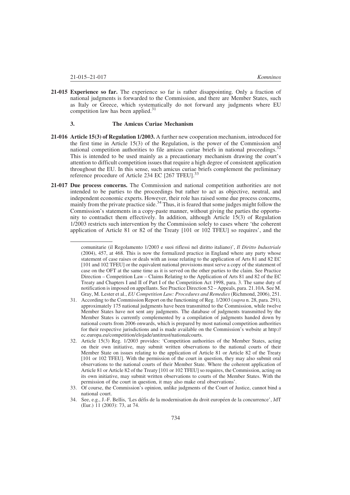21-015 Experience so far. The experience so far is rather disappointing. Only a fraction of national judgments is forwarded to the Commission, and there are Member States, such as Italy or Greece, which systematically do not forward any judgments where EU competition law has been applied. $31$ 

#### 3. The Amicus Curiae Mechanism

- 21-016 Article 15(3) of Regulation 1/2003. A further new cooperation mechanism, introduced for the first time in Article 15(3) of the Regulation, is the power of the Commission and national competition authorities to file amicus curiae briefs in national proceedings.<sup>32</sup> This is intended to be used mainly as a precautionary mechanism drawing the court's attention to difficult competition issues that require a high degree of consistent application throughout the EU. In this sense, such amicus curiae briefs complement the preliminary reference procedure of Article 234 EC [267 TFEU].<sup>33</sup>
- 21-017 Due process concerns. The Commission and national competition authorities are not intended to be parties to the proceedings but rather to act as objective, neutral, and independent economic experts. However, their role has raised some due process concerns, mainly from the private practice side.<sup>34</sup> Thus, it is feared that some judges might follow the Commission's statements in a copy-paste manner, without giving the parties the opportunity to contradict them effectively. In addition, although Article 15(3) of Regulation 1/2003 restricts such intervention by the Commission solely to cases where 'the coherent application of Article 81 or 82 of the Treaty [101 or 102 TFEU] so requires', and the

comunitarie (il Regolamento 1/2003 e suoi riflessi nel diritto italiano)', Il Diritto Industriale (2004), 457, at 468. This is now the formalized practice in England where any party whose statement of case raises or deals with an issue relating to the application of Arts 81 and 82 EC [101 and 102 TFEU] or the equivalent national provisions must serve a copy of the statement of case on the OFT at the same time as it is served on the other parties to the claim. See Practice Direction – Competition Law – Claims Relating to the Application of Arts 81 and 82 of the EC Treaty and Chapters I and II of Part I of the Competition Act 1998, para. 3. The same duty of notification is imposed on appellants. See Practice Direction 52 – Appeals, para. 21.10A. See M. Gray, M. Lester et al., EU Competition Law: Procedures and Remedies (Richmond, 2006), 251.

<sup>31.</sup> According to the Commission Report on the functioning of Reg. 1/2003 (supra n. 28, para. 291), approximately 175 national judgments have been transmitted to the Commission, while twelve Member States have not sent any judgments. The database of judgments transmitted by the Member States is currently complemented by a compilation of judgments handed down by national courts from 2006 onwards, which is prepared by most national competition authorities for their respective jurisdictions and is made available on the Commission's website at http:// ec.europa.eu/competition/elojade/antitrust/nationalcourts.

<sup>32.</sup> Article 15(3) Reg. 1/2003 provides: 'Competition authorities of the Member States, acting on their own initiative, may submit written observations to the national courts of their Member State on issues relating to the application of Article 81 or Article 82 of the Treaty [101 or 102 TFEU]. With the permission of the court in question, they may also submit oral observations to the national courts of their Member State. Where the coherent application of Article 81 or Article 82 of the Treaty [101 or 102 TFEU] so requires, the Commission, acting on its own initiative, may submit written observations to courts of the Member States. With the permission of the court in question, it may also make oral observations'.

<sup>33.</sup> Of course, the Commission's opinion, unlike judgments of the Court of Justice, cannot bind a national court.

<sup>34.</sup> See, e.g., J.-F. Bellis, 'Les défis de la modernisation du droit européen de la concurrence', JdT (Eur.) 11 (2003): 73, at 74.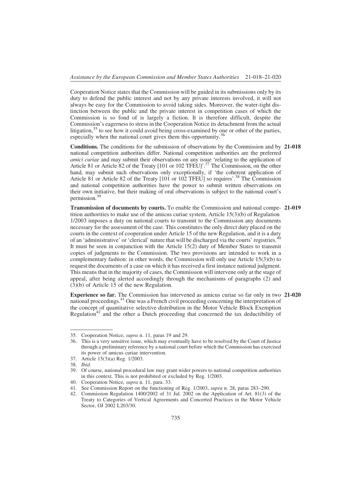Cooperation Notice states that the Commission will be guided in its submissions only by its duty to defend the public interest and not by any private interests involved, it will not always be easy for the Commission to avoid taking sides. Moreover, the water-tight distinction between the public and the private interest in competition cases of which the Commission is so fond of is largely a fiction. It is therefore difficult, despite the Commission's eagerness to stress in the Cooperation Notice its detachment from the actual litigation,  $35$  to see how it could avoid being cross-examined by one or other of the parties, especially when the national court gives them this opportunity.<sup>36</sup>

Conditions. The conditions for the submission of observations by the Commission and by 21-018 national competition authorities differ. National competition authorities are the preferred amici curiae and may submit their observations on any issue 'relating to the application of Article 81 or Article 82 of the Treaty [101 or 102 TFEU]'.<sup>37</sup> The Commission, on the other hand, may submit such observations only exceptionally, if 'the coherent application of Article 81 or Article 82 of the Treaty [101 or 102 TFEU] so requires'.<sup>38</sup> The Commission and national competition authorities have the power to submit written observations on their own initiative, but their making of oral observations is subject to the national court's permission.39

Transmission of documents by courts. To enable the Commission and national compe- 21-019 tition authorities to make use of the amicus curiae system, Article  $15(3)(b)$  of Regulation 1/2003 imposes a duty on national courts to transmit to the Commission any documents necessary for the assessment of the case. This constitutes the only direct duty placed on the courts in the context of cooperation under Article 15 of the new Regulation, and it is a duty of an 'administrative' or 'clerical' nature that will be discharged via the courts' registries.<sup>40</sup> It must be seen in conjunction with the Article 15(2) duty of Member States to transmit copies of judgments to the Commission. The two provisions are intended to work in a complementary fashion: in other words, the Commission will only use Article 15(3)(b) to request the documents of a case on which it has received a first instance national judgment. This means that in the majority of cases, the Commission will intervene only at the stage of appeal, after being alerted accordingly through the mechanisms of paragraphs (2) and (3)(b) of Article 15 of the new Regulation.

Experience so far. The Commission has intervened as amicus curiae so far only in two 21-020 national proceedings.41 One was a French civil proceeding concerning the interpretation of the concept of quantitative selective distribution in the Motor Vehicle Block Exemption Regulation<sup>42</sup> and the other a Dutch proceeding that concerned the tax deductibility of

<sup>35.</sup> Cooperation Notice, supra n. 11, paras 19 and 29.

<sup>36.</sup> This is a very sensitive issue, which may eventually have to be resolved by the Court of Justice through a preliminary reference by a national court before which the Commission has exercised its power of amicus curiae intervention.

<sup>37.</sup> Article 15(3)(a) Reg. 1/2003.

<sup>38.</sup> Ibid.

<sup>39.</sup> Of course, national procedural law may grant wider powers to national competition authorities in this context. This is not prohibited or excluded by Reg. 1/2003.

<sup>40.</sup> Cooperation Notice, supra n. 11, para. 33.

<sup>41.</sup> See Commission Report on the functioning of Reg. 1/2003, supra n. 28, paras 283–290.

<sup>42.</sup> Commission Regulation 1400/2002 of 31 Jul. 2002 on the Application of Art. 81(3) of the Treaty to Categories of Vertical Agreements and Concerted Practices in the Motor Vehicle Sector, OJ 2002 L203/30.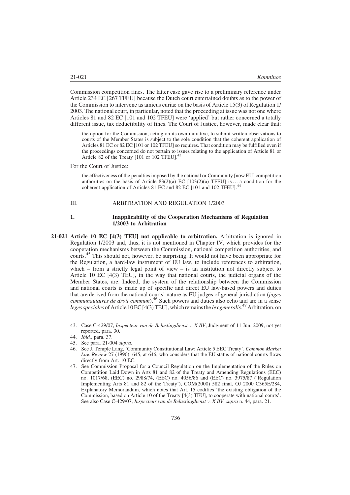Commission competition fines. The latter case gave rise to a preliminary reference under Article 234 EC [267 TFEU] because the Dutch court entertained doubts as to the power of the Commission to intervene as amicus curiae on the basis of Article 15(3) of Regulation 1/ 2003. The national court, in particular, noted that the proceeding at issue was not one where Articles 81 and 82 EC [101 and 102 TFEU] were 'applied' but rather concerned a totally different issue, tax deductibility of fines. The Court of Justice, however, made clear that:

the option for the Commission, acting on its own initiative, to submit written observations to courts of the Member States is subject to the sole condition that the coherent application of Articles 81 EC or 82 EC [101 or 102 TFEU] so requires. That condition may be fulfilled even if the proceedings concerned do not pertain to issues relating to the application of Article 81 or Article 82 of the Treaty [101 or 102 TFEU].<sup>43</sup>

For the Court of Justice:

the effectiveness of the penalties imposed by the national or Community [now EU] competition authorities on the basis of Article  $83(2)(a)$  EC  $[103(2)(a)$  TFEU] is... a condition for the coherent application of Articles 81 EC and 82 EC [101 and 102 TFEU].<sup>44</sup>

#### III. ARBITRATION AND REGULATION 1/2003

#### 1. Inapplicability of the Cooperation Mechanisms of Regulation 1/2003 to Arbitration

21-021 Article 10 EC [4(3) TEU] not applicable to arbitration. Arbitration is ignored in Regulation 1/2003 and, thus, it is not mentioned in Chapter IV, which provides for the cooperation mechanisms between the Commission, national competition authorities, and courts.<sup>45</sup> This should not, however, be surprising. It would not have been appropriate for the Regulation, a hard-law instrument of EU law, to include references to arbitration, which – from a strictly legal point of view – is an institution not directly subject to Article 10 EC [4(3) TEU], in the way that national courts, the judicial organs of the Member States, are. Indeed, the system of the relationship between the Commission and national courts is made up of specific and direct EU law-based powers and duties that are derived from the national courts' nature as EU judges of general jurisdiction (juges communautaires de droit commun).<sup>46</sup> Such powers and duties also echo and are in a sense leges speciales of Article 10 EC [4(3) TEU], which remains the lex generalis.<sup>47</sup> Arbitration, on

<sup>43.</sup> Case C-429/07, Inspecteur van de Belastingdienst v. X BV, Judgment of 11 Jun. 2009, not yet reported, para. 30.

<sup>44.</sup> Ibid., para. 37.

<sup>45.</sup> See para. 21-004 supra.

<sup>46.</sup> See J. Temple Lang, 'Community Constitutional Law: Article 5 EEC Treaty', Common Market Law Review 27 (1990): 645, at 646, who considers that the EU status of national courts flows directly from Art. 10 EC.

<sup>47.</sup> See Commission Proposal for a Council Regulation on the Implementation of the Rules on Competition Laid Down in Arts 81 and 82 of the Treaty and Amending Regulations (EEC) no. 1017/68, (EEC) no. 2988/74, (EEC) no. 4056/86 and (EEC) no. 3975/87 ('Regulation Implementing Arts 81 and 82 of the Treaty'), COM(2000) 582 final, OJ 2000 C365E/284, Explanatory Memorandum, which notes that Art. 15 codifies 'the existing obligation of the Commission, based on Article 10 of the Treaty [4(3) TEU], to cooperate with national courts'. See also Case C-429/07, Inspecteur van de Belastingdienst v. X BV, supra n. 44, para. 21.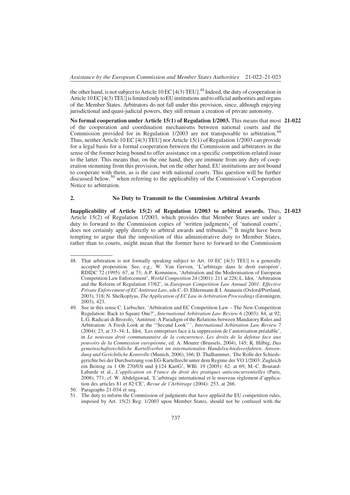the other hand, is not subject to Article 10 EC  $[4(3)$  TEU].<sup>48</sup> Indeed, the duty of cooperation in Article  $10$  EC  $[4(3)$  TEU $]$  is limited only to EU institutions and to official authorities and organs of the Member States. Arbitrators do not fall under this provision, since, although enjoying jurisdictional and quasi-judicial powers, they still remain a creation of private autonomy.

No formal cooperation under Article 15(1) of Regulation 1/2003. This means that most 21-022 of the cooperation and coordination mechanisms between national courts and the Commission provided for in Regulation 1/2003 are not transposable to arbitration.<sup>49</sup> Thus, neither Article 10 EC [4(3) TEU] nor Article 15(1) of Regulation 1/2003 can provide for a legal basis for a formal cooperation between the Commission and arbitrators in the sense of the former being bound to offer assistance on a specific competition-related issue to the latter. This means that, on the one hand, they are immune from any duty of cooperation stemming from this provision, but on the other hand, EU institutions are not bound to cooperate with them, as is the case with national courts. This question will be further discussed below,<sup>50</sup> when referring to the applicability of the Commission's Cooperation Notice to arbitration.

#### 2. No Duty to Transmit to the Commission Arbitral Awards

Inapplicability of Article 15(2) of Regulation 1/2003 to arbitral awards. Thus, 21-023 Article 15(2) of Regulation 1/2003, which provides that Member States are under a duty to forward to the Commission copies of 'written judgments' of 'national courts', does not certainly apply directly to arbitral awards and tribunals.<sup>51</sup> It might have been tempting to argue that the imposition of this administrative duty to Member States, rather than to courts, might mean that the former have to forward to the Commission

<sup>48.</sup> That arbitration is not formally speaking subject to Art. 10 EC [4(3) TEU] is a generally accepted proposition. See, e.g., W. Van Gerven, 'L'arbitrage dans le droit européen', RDIDC 72 (1995): 67, at 73; A.P. Komninos, 'Arbitration and the Modernisation of European Competition Law Enforcement', World Competition 24 (2001): 211 at 228; L. Idot, 'Arbitration and the Reform of Regulation 17/62', in European Competition Law Annual 2001: Effective Private Enforcement of EC Antitrust Law, eds C.-D. Ehlermann & I. Atanasiu (Oxford/Portland, 2003), 318; N. Shelkoplyas, The Application of EC Law in Arbitration Proceedings (Groningen, 2003), 423.

<sup>49.</sup> See in this sense C. Liebscher, 'Arbitration and EC Competition Law – The New Competition Regulation: Back to Square One?', International Arbitration Law Review 6 (2003): 84, at 92; L.G. Radicati di Brozolo, 'Antitrust: A Paradigm of the Relations between Mandatory Rules and Arbitration: A Fresh Look at the ''Second Look'' ', International Arbitration Law Review 7  $(2004)$ : 23, at 33–34; L. Idot, 'Les entreprises face à la suppression de l'autorisation préalable', in Le nouveau droit communautaire de la concurrence, Les droits de la defense face aux pouvoirs de la Commission européenne, ed. A. Mourre (Brussels, 2004), 145; K. Hilbig, Das gemeinschaftsrechtliche Kartellverbot im internationalen Handelsschiedsverfahren, Anwendung und Gerichtliche Kontrolle (Munich, 2006), 166; D. Thalhammer, 'Die Rolle der Schiedsgerichte bei der Durchsetzung von EG-Kartellrecht unter dem Regime der VO 1/2003: Zugleich ein Beitrag zu 1 Ob 270/03t und § 124 KartG', WBl. 19 (2005): 62. at 69; M.-C. Boutard-Labarde et al., L'application en France du droit des pratiques anticoncurrentielles (Paris, 2008), 771; cf. W. Abdelgawad, 'L'arbitrage international et le nouveau règlement d'application des articles 81 et 82 CE', Revue de l'Arbitrage (2004): 253, at 266.

<sup>50.</sup> Paragraphs 21-034 et seq.

<sup>51.</sup> The duty to inform the Commission of judgments that have applied the EU competition rules, imposed by Art. 15(2) Reg. 1/2003 upon Member States, should not be confused with the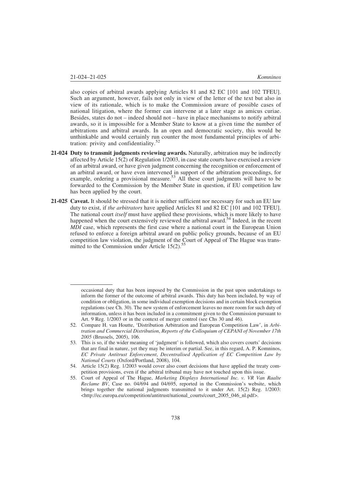also copies of arbitral awards applying Articles 81 and 82 EC [101 and 102 TFEU]. Such an argument, however, fails not only in view of the letter of the text but also in view of its rationale, which is to make the Commission aware of possible cases of national litigation, where the former can intervene at a later stage as amicus curiae. Besides, states do not – indeed should not – have in place mechanisms to notify arbitral awards, so it is impossible for a Member State to know at a given time the number of arbitrations and arbitral awards. In an open and democratic society, this would be unthinkable and would certainly run counter the most fundamental principles of arbitration: privity and confidentiality.<sup>52</sup>

- 21-024 Duty to transmit judgments reviewing awards. Naturally, arbitration may be indirectly affected by Article 15(2) of Regulation 1/2003, in case state courts have exercised a review of an arbitral award, or have given judgment concerning the recognition or enforcement of an arbitral award, or have even intervened in support of the arbitration proceedings, for example, ordering a provisional measure.<sup>53</sup> All these court judgments will have to be forwarded to the Commission by the Member State in question, if EU competition law has been applied by the court.
- 21-025 Caveat. It should be stressed that it is neither sufficient nor necessary for such an EU law duty to exist, if the arbitrators have applied Articles 81 and 82 EC [101 and 102 TFEU]. The national court *itself* must have applied these provisions, which is more likely to have happened when the court extensively reviewed the arbitral award.<sup>54</sup> Indeed, in the recent MDI case, which represents the first case where a national court in the European Union refused to enforce a foreign arbitral award on public policy grounds, because of an EU competition law violation, the judgment of the Court of Appeal of The Hague was transmitted to the Commission under Article  $15(2)$ .<sup>55</sup>

occasional duty that has been imposed by the Commission in the past upon undertakings to inform the former of the outcome of arbitral awards. This duty has been included, by way of condition or obligation, in some individual exemption decisions and in certain block exemption regulations (see Ch. 30). The new system of enforcement leaves no more room for such duty of information, unless it has been included in a commitment given to the Commission pursuant to Art. 9 Reg. 1/2003 or in the context of merger control (see Chs 30 and 46).

<sup>52.</sup> Compare H. van Houtte, 'Distribution Arbitration and European Competition Law', in Arbitration and Commercial Distribution, Reports of the Colloquium of CEPANI of November 17th 2005 (Brussels, 2005), 106.

<sup>53.</sup> This is so, if the wider meaning of 'judgment' is followed, which also covers courts' decisions that are final in nature, yet they may be interim or partial. See, in this regard, A. P. Komninos, EC Private Antitrust Enforcement, Decentralised Application of EC Competition Law by National Courts (Oxford/Portland, 2008), 104.

<sup>54.</sup> Article 15(2) Reg. 1/2003 would cover also court decisions that have applied the treaty competition provisions, even if the arbitral tribunal may have not touched upon this issue.

<sup>55.</sup> Court of Appeal of The Hague, Marketing Displays International Inc. v. VR Van Raalte Reclame BV, Case no. 04/694 and 04/695, reported in the Commission's website, which brings together the national judgments transmitted to it under Art. 15(2) Reg. 1/2003: <http://ec.europa.eu/competition/antitrust/national\_courts/court\_2005\_046\_nl.pdf>.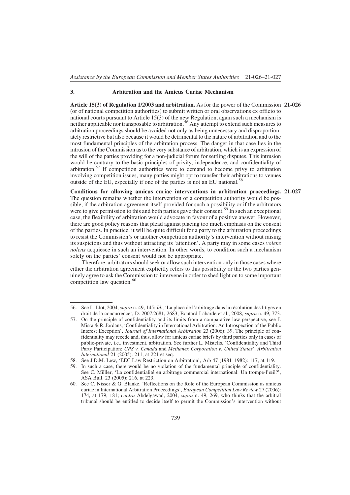#### 3. Arbitration and the Amicus Curiae Mechanism

Article 15(3) of Regulation 1/2003 and arbitration. As for the power of the Commission 21-026 (or of national competition authorities) to submit written or oral observations ex officio to national courts pursuant to Article 15(3) of the new Regulation, again such a mechanism is neither applicable nor transposable to arbitration.<sup>56</sup> Any attempt to extend such measures to arbitration proceedings should be avoided not only as being unnecessary and disproportionately restrictive but also because it would be detrimental to the nature of arbitration and to the most fundamental principles of the arbitration process. The danger in that case lies in the intrusion of the Commission as to the very substance of arbitration, which is an expression of the will of the parties providing for a non-judicial forum for settling disputes. This intrusion would be contrary to the basic principles of privity, independence, and confidentiality of arbitration.<sup>57</sup> If competition authorities were to demand to become privy to arbitration involving competition issues, many parties might opt to transfer their arbitrations to venues outside of the EU, especially if one of the parties is not an EU national.<sup>58</sup>

Conditions for allowing amicus curiae interventions in arbitration proceedings. 21-027 The question remains whether the intervention of a competition authority would be possible, if the arbitration agreement itself provided for such a possibility or if the arbitrators were to give permission to this and both parties gave their consent.<sup>59</sup> In such an exceptional case, the flexibility of arbitration would advocate in favour of a positive answer. However, there are good policy reasons that plead against placing too much emphasis on the consent of the parties. In practice, it will be quite difficult for a party to the arbitration proceedings to resist the Commission's or another competition authority's intervention without raising its suspicions and thus without attracting its 'attention'. A party may in some cases *volens* nolens acquiesce in such an intervention. In other words, to condition such a mechanism solely on the parties' consent would not be appropriate.

Therefore, arbitrators should seek or allow such intervention only in those cases where either the arbitration agreement explicitly refers to this possibility or the two parties genuinely agree to ask the Commission to intervene in order to shed light on to some important competition law question.<sup>60</sup>

<sup>56.</sup> See L. Idot, 2004, *supra* n. 49, 145; *Id.*, 'La place de l'arbitrage dans la résolution des litiges en droit de la concurrence', D. 2007.2681, 2683; Boutard-Labarde et al., 2008, supra n. 49, 773.

<sup>57.</sup> On the principle of confidentiality and its limits from a comparative law perspective, see J. Misra & R. Jordans, 'Confidentiality in International Arbitration: An Introspection of the Public Interest Exception', Journal of International Arbitration 23 (2006): 39. The principle of confidentiality may recede and, thus, allow for amicus curiae briefs by third parties only in cases of public-private, i.e., investment, arbitration. See further L. Mistelis, 'Confidentiality and Third Party Participation: UPS v. Canada and Methanex Corporation v. United States', Arbitration International 21 (2005): 211, at 221 et seq.

<sup>58.</sup> See J.D.M. Lew, 'EEC Law Restriction on Arbitration', Arb 47 (1981–1982): 117, at 119.

<sup>59.</sup> In such a case, there would be no violation of the fundamental principle of confidentiality. See C. Müller, 'La confidentialité en arbitrage commercial international: Un trompe-l'œil?', ASA Bull. 23 (2005): 216, at 223.

<sup>60.</sup> See C. Nisser & G. Blanke, 'Reflections on the Role of the European Commission as amicus curiae in International Arbitration Proceedings', European Competition Law Review 27 (2006): 174, at 179, 181; contra Abdelgawad, 2004, supra n. 49, 269, who thinks that the arbitral tribunal should be entitled to decide itself to permit the Commission's intervention without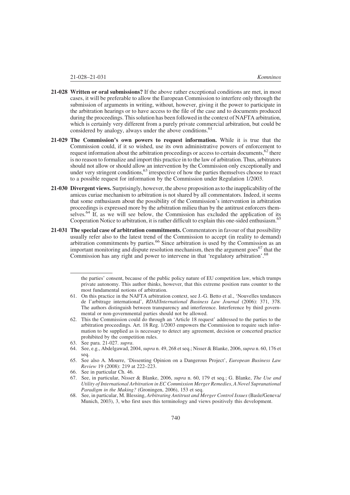- 21-028 Written or oral submissions? If the above rather exceptional conditions are met, in most cases, it will be preferable to allow the European Commission to interfere only through the submission of arguments in writing, without, however, giving it the power to participate in the arbitration hearings or to have access to the file of the case and to documents produced during the proceedings. This solution has been followed in the context of NAFTA arbitration, which is certainly very different from a purely private commercial arbitration, but could be considered by analogy, always under the above conditions.<sup>61</sup>
- 21-029 The Commission's own powers to request information. While it is true that the Commission could, if it so wished, use its own administrative powers of enforcement to request information about the arbitration proceedings or access to certain documents,  $62$  there is no reason to formalize and import this practice in to the law of arbitration. Thus, arbitrators should not allow or should allow an intervention by the Commission only exceptionally and under very stringent conditions,<sup>63</sup> irrespective of how the parties themselves choose to react to a possible request for information by the Commission under Regulation 1/2003.
- 21-030 Divergent views. Surprisingly, however, the above proposition as to the inapplicability of the amicus curiae mechanism to arbitration is not shared by all commentators. Indeed, it seems that some enthusiasm about the possibility of the Commission's intervention in arbitration proceedings is expressed more by the arbitration milieu than by the antitrust enforcers themselves.<sup>64</sup> If, as we will see below, the Commission has excluded the application of its Cooperation Notice to arbitration, it is rather difficult to explain this one-sided enthusiasm.<sup>65</sup>
- 21-031 The special case of arbitration commitments. Commentators in favour of that possibility usually refer also to the latest trend of the Commission to accept (in reality to demand) arbitration commitments by parties.<sup>66</sup> Since arbitration is used by the Commission as an important monitoring and dispute resolution mechanism, then the argument goes<sup>67</sup> that the Commission has any right and power to intervene in that 'regulatory arbitration'.<sup>68</sup>

63. See para. 21-027. supra.

the parties' consent, because of the public policy nature of EU competition law, which trumps private autonomy. This author thinks, however, that this extreme position runs counter to the most fundamental notions of arbitration.

<sup>61.</sup> On this practice in the NAFTA arbitration context, see J.-G. Betto et al., 'Nouvelles tendances de l'arbitrage international', RDAI/International Business Law Journal (2006): 371, 378. The authors distinguish between transparency and interference. Interference by third governmental or non-governmental parties should not be allowed.

<sup>62.</sup> This the Commission could do through an 'Article 18 request' addressed to the parties to the arbitration proceedings. Art. 18 Reg. 1/2003 empowers the Commission to require such information to be supplied as is necessary to detect any agreement, decision or concerted practice prohibited by the competition rules.

<sup>64.</sup> See, e.g., Abdelgawad, 2004, supra n. 49, 268 et seq.; Nisser & Blanke, 2006, supra n. 60, 176 et seq.

<sup>65.</sup> See also A. Mourre, 'Dissenting Opinion on a Dangerous Project', European Business Law Review 19 (2008): 219 at 222–223.

<sup>66.</sup> See in particular Ch. 46.

<sup>67.</sup> See, in particular, Nisser & Blanke, 2006, supra n. 60, 179 et seq.; G. Blanke, The Use and Utility of International Arbitration in EC Commission Merger Remedies, A Novel Supranational Paradigm in the Making? (Groningen, 2006), 153 et seq.

<sup>68.</sup> See, in particular, M. Blessing, Arbitrating Antitrust and Merger Control Issues (Basle/Geneva/ Munich, 2003), 3, who first uses this terminology and views positively this development.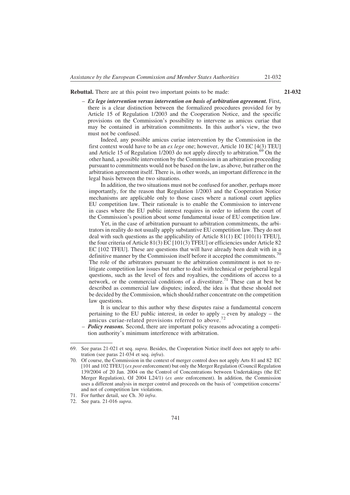Rebuttal. There are at this point two important points to be made: 21-032

 $-$  Ex lege intervention versus intervention on basis of arbitration agreement. First, there is a clear distinction between the formalized procedures provided for by Article 15 of Regulation 1/2003 and the Cooperation Notice, and the specific provisions on the Commission's possibility to intervene as amicus curiae that may be contained in arbitration commitments. In this author's view, the two must not be confused.

Indeed, any possible amicus curiae intervention by the Commission in the first context would have to be an *ex lege* one; however, Article 10 EC [4(3) TEU] and Article 15 of Regulation 1/2003 do not apply directly to arbitration.<sup>69</sup> On the other hand, a possible intervention by the Commission in an arbitration proceeding pursuant to commitments would not be based on the law, as above, but rather on the arbitration agreement itself. There is, in other words, an important difference in the legal basis between the two situations.

In addition, the two situations must not be confused for another, perhaps more importantly, for the reason that Regulation 1/2003 and the Cooperation Notice mechanisms are applicable only to those cases where a national court applies EU competition law. Their rationale is to enable the Commission to intervene in cases where the EU public interest requires in order to inform the court of the Commission's position about some fundamental issue of EU competition law.

Yet, in the case of arbitration pursuant to arbitration commitments, the arbitrators in reality do not usually apply substantive EU competition law. They do not deal with such questions as the applicability of Article 81(1) EC [101(1) TFEU], the four criteria of Article 81(3) EC [101(3) TFEU] or efficiencies under Article 82 EC [102 TFEU]. These are questions that will have already been dealt with in a definitive manner by the Commission itself before it accepted the commitments.<sup>70</sup> The role of the arbitrators pursuant to the arbitration commitment is not to relitigate competition law issues but rather to deal with technical or peripheral legal questions, such as the level of fees and royalties, the conditions of access to a network, or the commercial conditions of a divestiture.<sup>71</sup> These can at best be described as commercial law disputes; indeed, the idea is that these should not be decided by the Commission, which should rather concentrate on the competition law questions.

It is unclear to this author why these disputes raise a fundamental concern pertaining to the EU public interest, in order to apply – even by analogy – the amicus curiae-related provisions referred to above.<sup>72</sup>

– **Policy reasons.** Second, there are important policy reasons advocating a competition authority's minimum interference with arbitration.

<sup>69.</sup> See paras 21-021 et seq. supra. Besides, the Cooperation Notice itself does not apply to arbitration (see paras 21-034 et seq. infra).

<sup>70.</sup> Of course, the Commission in the context of merger control does not apply Arts 81 and 82 EC [101 and 102 TFEU] (ex post enforcement) but only the Merger Regulation (Council Regulation 139/2004 of 20 Jan. 2004 on the Control of Concentrations between Undertakings (the EC Merger Regulation), OJ 2004 L24/1) (ex ante enforcement). In addition, the Commission uses a different analysis in merger control and proceeds on the basis of 'competition concerns' and not of competition law violations.

<sup>71.</sup> For further detail, see Ch. 30 infra.

<sup>72.</sup> See para. 21-016 supra.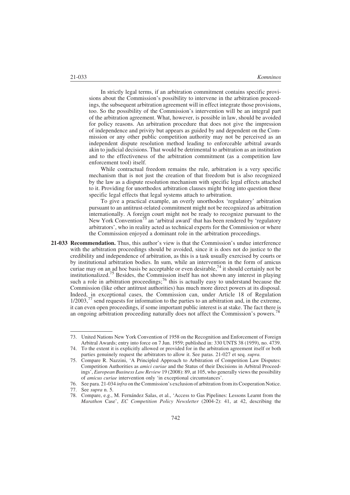In strictly legal terms, if an arbitration commitment contains specific provisions about the Commission's possibility to intervene in the arbitration proceedings, the subsequent arbitration agreement will in effect integrate those provisions, too. So the possibility of the Commission's intervention will be an integral part of the arbitration agreement. What, however, is possible in law, should be avoided for policy reasons. An arbitration procedure that does not give the impression of independence and privity but appears as guided by and dependent on the Commission or any other public competition authority may not be perceived as an independent dispute resolution method leading to enforceable arbitral awards akin to judicial decisions. That would be detrimental to arbitration as an institution and to the effectiveness of the arbitration commitment (as a competition law enforcement tool) itself.

While contractual freedom remains the rule, arbitration is a very specific mechanism that is not just the creation of that freedom but is also recognized by the law as a dispute resolution mechanism with specific legal effects attached to it. Providing for unorthodox arbitration clauses might bring into question these specific legal effects that legal systems attach to arbitration.

To give a practical example, an overly unorthodox 'regulatory' arbitration pursuant to an antitrust-related commitment might not be recognized as arbitration internationally. A foreign court might not be ready to recognize pursuant to the New York Convention<sup>73</sup> an 'arbitral award' that has been rendered by 'regulatory arbitrators', who in reality acted as technical experts for the Commission or where the Commission enjoyed a dominant role in the arbitration proceedings.

21-033 Recommendation. Thus, this author's view is that the Commission's undue interference with the arbitration proceedings should be avoided, since it is does not do justice to the credibility and independence of arbitration, as this is a task usually exercised by courts or by institutional arbitration bodies. In sum, while an intervention in the form of amicus curiae may on an ad hoc basis be acceptable or even desirable,<sup>74</sup> it should certainly not be institutionalized.<sup>75</sup> Besides, the Commission itself has not shown any interest in playing such a role in arbitration proceedings;<sup>76</sup> this is actually easy to understand because the Commission (like other antitrust authorities) has much more direct powers at its disposal. Indeed, in exceptional cases, the Commission can, under Article 18 of Regulation  $1/2003$ ,<sup>77</sup> send requests for information to the parties to an arbitration and, in the extreme, it can even open proceedings, if some important public interest is at stake. The fact there is an ongoing arbitration proceeding naturally does not affect the Commission's powers.<sup>78</sup>

<sup>73.</sup> United Nations New York Convention of 1958 on the Recognition and Enforcement of Foreign Arbitral Awards; entry into force on 7 Jun. 1959; published in: 330 UNTS 38 (1959), no. 4739.

<sup>74.</sup> To the extent it is explicitly allowed or provided for in the arbitration agreement itself or both parties genuinely request the arbitrators to allow it. See paras. 21-027 et seq. supra.

<sup>75.</sup> Compare R. Nazzini, 'A Principled Approach to Arbitration of Competition Law Disputes: Competition Authorities as amici curiae and the Status of their Decisions in Arbitral Proceedings', European Business Law Review 19 (2008): 89, at 105, who generally views the possibility of amicus curiae intervention only 'in exceptional circumstances'.

<sup>76.</sup> See para. 21-034 infra on the Commission's exclusion of arbitration from its Cooperation Notice.

<sup>77.</sup> See supra n. 5.

<sup>78.</sup> Compare, e.g., M. Ferna´ndez Salas, et al., 'Access to Gas Pipelines: Lessons Learnt from the Marathon Case', EC Competition Policy Newsletter (2004-2): 41, at 42, describing the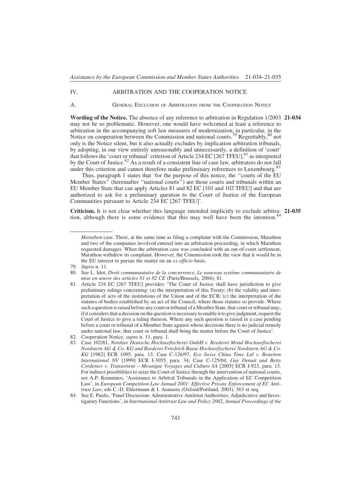#### IV. ARBITRATION AND THE COOPERATION NOTICE

A. GENERAL EXCLUSION OF ARBITRATION FROM THE COOPERATION NOTICE

Wording of the Notice. The absence of any reference to arbitration in Regulation 1/2003 21-034 may not be so problematic. However, one would have welcomed at least a reference to arbitration in the accompanying soft law measures of modernization, in particular, in the Notice on cooperation between the Commission and national courts.<sup>79</sup> Regrettably,<sup>80</sup> not only is the Notice silent, but it also actually excludes by implication arbitration tribunals, by adopting, in our view entirely unreasonably and unnecessarily, a definition of 'court' that follows the 'court or tribunal' criterion of Article 234 EC  $[267$  TFEU],<sup>81</sup> as interpreted by the Court of Justice.<sup>82</sup> As a result of a consistent line of case law, arbitrators do not fall under this criterion and cannot therefore make preliminary references to Luxembourg.<sup>83</sup>

Thus, paragraph 1 states that 'for the purpose of this notice, the ''courts of the EU Member States'' (hereinafter ''national courts'') are those courts and tribunals within an EU Member State that can apply Articles 81 and 82 EC [101 and 102 TFEU] and that are authorized to ask for a preliminary question to the Court of Justice of the European Communities pursuant to Article 234 EC [267 TFEU]'.

Criticism. It is not clear whether this language intended implicitly to exclude arbitra- 21-035 tion, although there is some evidence that this may well have been the intention.<sup>84</sup>

Marathon case. There, at the same time as filing a complaint with the Commission, Marathon and two of the companies involved entered into an arbitration proceeding, in which Marathon requested damages. When the arbitration case was concluded with an out-of-court settlement, Marathon withdrew its complaint. However, the Commission took the view that it would be in the EU interest to pursue the matter on an *ex officio* basis.

<sup>79.</sup> Supra n. 11.

<sup>80.</sup> See L. Idot, Droit communautaire de la concurrence, Le nouveau système communautaire de mise en œuvre des articles 81 et 82 CE (Paris/Brussels, 2004), 81.

<sup>81.</sup> Article 234 EC [267 TFEU] provides: 'The Court of Justice shall have jurisdiction to give preliminary rulings concerning: (a) the interpretation of this Treaty; (b) the validity and interpretation of acts of the institutions of the Union and of the ECB; (c) the interpretation of the statutes of bodies established by an act of the Council, where those statutes so provide. Where such a question is raised before any court or tribunal of a Member State, that court or tribunal may, if it considers that a decision on the question is necessary to enable it to give judgment, request the Court of Justice to give a ruling thereon. Where any such question is raised in a case pending before a court or tribunal of a Member State against whose decisions there is no judicial remedy under national law, that court or tribunal shall bring the matter before the Court of Justice'.

<sup>82.</sup> Cooperation Notice, supra n. 11, para. 1.

<sup>83.</sup> Case 102/81, Nordsee Deutsche Hochseefischerei GmbH v. Reederei Mond Hochseefischerei Nordstern AG & Co. KG and Reederei Friedrich Busse Hochseefischerei Nordstern AG & Co. KG [1982] ECR 1095, para. 13; Case C-126/97, Eco Swiss China Time Ltd v. Benetton International NV [1999] ECR I-3055, para. 34; Case C-125/04, Guy Denuit and Betty Cordenier v. Transorient – Mosaïque Voyages and Culture SA [2005] ECR I-923, para. 13. For indirect possibilities to seize the Court of Justice through the intervention of national courts, see A.P. Komninos, 'Assistance to Arbitral Tribunals in the Application of EC Competition Law', in European Competition Law Annual 2001: Effective Private Enforcement of EC Antitrust Law, eds C.-D. Ehlermann & I. Atanasiu (Oxford/Portland, 2003), 363 et seq.

<sup>84.</sup> See E. Paulis, 'Panel Discussion: Administrative Antitrust Authorities: Adjudicative and Investigatory Functions', in International Antitrust Law and Policy 2002, Annual Proceedings of the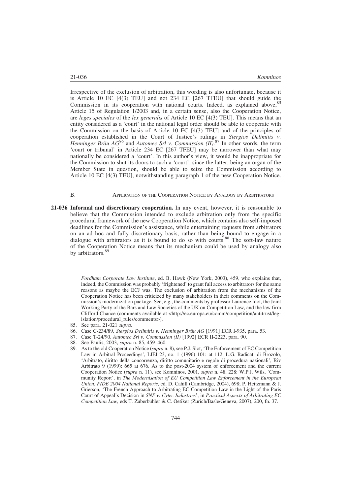Irrespective of the exclusion of arbitration, this wording is also unfortunate, because it is Article 10 EC [4(3) TEU] and not 234 EC [267 TFEU] that should guide the Commission in its cooperation with national courts. Indeed, as explained above, 85 Article 15 of Regulation 1/2003 and, in a certain sense, also the Cooperation Notice, are leges speciales of the lex generalis of Article 10 EC [4(3) TEU]. This means that an entity considered as a 'court' in the national legal order should be able to cooperate with the Commission on the basis of Article 10 EC  $[4(3)$  TEU] and of the principles of cooperation established in the Court of Justice's rulings in Stergios Delimitis v. Henninger Bräu AG<sup>86</sup> and Automec Srl v. Commission (II).<sup>87</sup> In other words, the term 'court or tribunal' in Article 234 EC [267 TFEU] may be narrower than what may nationally be considered a 'court'. In this author's view, it would be inappropriate for the Commission to shut its doors to such a 'court', since the latter, being an organ of the Member State in question, should be able to seize the Commission according to Article 10 EC [4(3) TEU], notwithstanding paragraph 1 of the new Cooperation Notice.

#### B. **APPLICATION OF THE COOPERATION NOTICE BY ANALOGY BY ARBITRATORS**

21-036 Informal and discretionary cooperation. In any event, however, it is reasonable to believe that the Commission intended to exclude arbitration only from the specific procedural framework of the new Cooperation Notice, which contains also self-imposed deadlines for the Commission's assistance, while entertaining requests from arbitrators on an ad hoc and fully discretionary basis, rather than being bound to engage in a dialogue with arbitrators as it is bound to do so with courts.<sup>88</sup> The soft-law nature of the Cooperation Notice means that its mechanism could be used by analogy also by arbitrators.<sup>89</sup>

- 86. Case C-234/89, Stergios Delimitis v. Henninger Bräu AG [1991] ECR I-935, para. 53.
- 87. Case T-24/90, Automec Srl v. Commission (II) [1992] ECR II-2223, para. 90.
- 88. See Paulis, 2003, supra n. 85, 459–460.
- 89. As to the old Cooperation Notice (supra n. 8), see P.J. Slot, 'The Enforcement of EC Competition Law in Arbitral Proceedings', LIEI 23, no. 1 (1996) 101: at 112; L.G. Radicati di Brozolo, 'Arbitrato, diritto della concorrenza, diritto comunitario e regole di procedura nazionali', Riv Arbitrato 9 (1999): 665 at 676. As to the post-2004 system of enforcement and the current Cooperation Notice (supra n. 11), see Komninos, 2001, supra n. 48, 228; W.P.J. Wils, 'Community Report', in The Modernisation of EU Competition Law Enforcement in the European Union, FIDE 2004 National Reports, ed. D. Cahill (Cambridge, 2004), 698; P. Heitzmann & J. Grierson, 'The French Approach to Arbitrating EC Competition Law in the Light of the Paris Court of Appeal's Decision in SNF v. Cytec Industries', in Practical Aspects of Arbitrating EC Competition Law, eds T. Zuberbühler & C. Oetiker (Zurich/Basle/Geneva, 2007), 200, fn. 37.

Fordham Corporate Law Institute, ed. B. Hawk (New York, 2003), 459, who explains that, indeed, the Commission was probably 'frightened' to grant full access to arbitrators for the same reasons as maybe the ECJ was. The exclusion of arbitration from the mechanisms of the Cooperation Notice has been criticized by many stakeholders in their comments on the Commission's modernization package. See, e.g., the comments by professor Laurence Idot, the Joint Working Party of the Bars and Law Societies of the UK on Competition Law, and the law firm Clifford Chance (comments available at <http://ec.europa.eu/comm/competition/antitrust/legislation/procedural\_rules/comments>).

<sup>85.</sup> See para. 21-021 supra.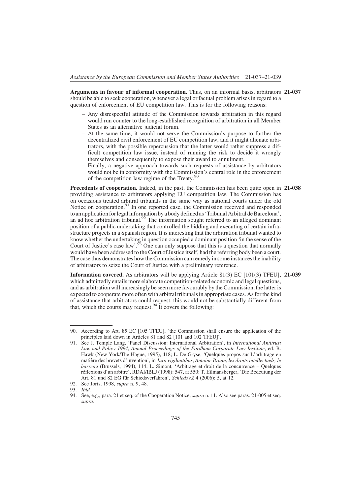Arguments in favour of informal cooperation. Thus, on an informal basis, arbitrators 21-037 should be able to seek cooperation, whenever a legal or factual problem arises in regard to a question of enforcement of EU competition law. This is for the following reasons:

- Any disrespectful attitude of the Commission towards arbitration in this regard would run counter to the long-established recognition of arbitration in all Member States as an alternative judicial forum.
- At the same time, it would not serve the Commission's purpose to further the decentralized civil enforcement of EU competition law, and it might alienate arbitrators, with the possible repercussion that the latter would rather suppress a difficult competition law issue, instead of running the risk to decide it wrongly themselves and consequently to expose their award to annulment.
- Finally, a negative approach towards such requests of assistance by arbitrators would not be in conformity with the Commission's central role in the enforcement of the competition law regime of the Treaty. $90$

Precedents of cooperation. Indeed, in the past, the Commission has been quite open in 21-038 providing assistance to arbitrators applying EU competition law. The Commission has on occasions treated arbitral tribunals in the same way as national courts under the old Notice on cooperation.<sup>91</sup> In one reported case, the Commission received and responded to an application for legalinformation by a body defined as 'Tribunal Arbitral de Barcelona', an ad hoc arbitration tribunal. $92$  The information sought referred to an alleged dominant position of a public undertaking that controlled the bidding and executing of certain infrastructure projects in a Spanish region. It is interesting that the arbitration tribunal wanted to know whether the undertaking in question occupied a dominant position 'in the sense of the Court of Justice's case law'.<sup>93</sup> One can only suppose that this is a question that normally would have been addressed to the Court of Justice itself, had the referring body been a court. The case thus demonstrates how the Commission can remedy in some instances the inability of arbitrators to seize the Court of Justice with a preliminary reference.

**Information covered.** As arbitrators will be applying Article  $81(3)$  EC  $[101(3)$  TFEU], 21-039 which admittedly entails more elaborate competition-related economic and legal questions, and as arbitration will increasingly be seen more favourably by the Commission, the latter is expected to cooperate more often with arbitral tribunals in appropriate cases. As for the kind of assistance that arbitrators could request, this would not be substantially different from that, which the courts may request.<sup>94</sup> It covers the following:

<sup>90.</sup> According to Art. 85 EC [105 TFEU], 'the Commission shall ensure the application of the principles laid down in Articles 81 and 82 [101 and 102 TFEU]'.

<sup>91.</sup> See J. Temple Lang, 'Panel Discussion: International Arbitration', in International Antitrust Law and Policy 1994, Annual Proceedings of the Fordham Corporate Law Institute, ed. B. Hawk (New York/The Hague, 1995), 418; L. De Gryse, 'Quelques propos sur L'arbitrage en matière des brevets d'invention', in Jura vigilantibus, Antoine Braun, les droits intellectuels, le barreau (Brussels, 1994), 114; L. Simont, 'Arbitrage et droit de la concurrence – Quelques réflexions d'un arbitre', RDAI/IBLJ (1998): 547, at 550; T. Eilmansberger, 'Die Bedeutung der Art. 81 und 82 EG für Schiedsverfahren', SchiedsVZ 4 (2006): 5, at 12.

<sup>92.</sup> See Joris, 1998, supra n. 9, 48.

<sup>93.</sup> Ibid.

<sup>94.</sup> See, e.g., para. 21 et seq. of the Cooperation Notice, *supra* n. 11. Also see paras. 21-005 et seq. supra.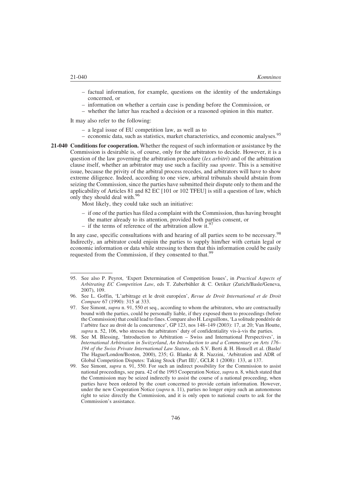- factual information, for example, questions on the identity of the undertakings concerned, or
- information on whether a certain case is pending before the Commission, or
- whether the latter has reached a decision or a reasoned opinion in this matter.

It may also refer to the following:

- a legal issue of EU competition law, as well as to
- economic data, such as statistics, market characteristics, and economic analyses.<sup>95</sup>
- 21-040 Conditions for cooperation. Whether the request of such information or assistance by the Commission is desirable is, of course, only for the arbitrators to decide. However, it is a question of the law governing the arbitration procedure *(lex arbitri)* and of the arbitration clause itself, whether an arbitrator may use such a facility sua sponte. This is a sensitive issue, because the privity of the arbitral process recedes, and arbitrators will have to show extreme diligence. Indeed, according to one view, arbitral tribunals should abstain from seizing the Commission, since the parties have submitted their dispute only to them and the applicability of Articles 81 and 82 EC [101 or 102 TFEU] is still a question of law, which only they should deal with.<sup>96</sup>

Most likely, they could take such an initiative:

- if one of the parties has filed a complaint with the Commission, thus having brought the matter already to its attention, provided both parties consent, or
- if the terms of reference of the arbitration allow it.<sup>97</sup>

In any case, specific consultations with and hearing of all parties seem to be necessary.<sup>98</sup> Indirectly, an arbitrator could enjoin the parties to supply him/her with certain legal or economic information or data while stressing to them that this information could be easily requested from the Commission, if they consented to that.<sup>99</sup>

<sup>95.</sup> See also P. Peyrot, 'Expert Determination of Competition Issues', in *Practical Aspects of* Arbitrating EC Competition Law, eds T. Zuberbühler & C. Oetiker (Zurich/Basle/Geneva, 2007), 109.

<sup>96.</sup> See L. Goffin, 'L'arbitrage et le droit européen', Revue de Droit International et de Droit Compare 67 (1990): 315 at 333.

<sup>97.</sup> See Simont, *supra* n. 91, 550 et seq., according to whom the arbitrators, who are contractually bound with the parties, could be personally liable, if they exposed them to proceedings (before the Commission) that could lead to fines. Compare also H. Lesguillons, 'La solitude pondérée de l'arbitre face au droit de la concurrence', GP 123, nos 148–149 (2003): 17, at 20; Van Houtte, supra n. 52, 106, who stresses the arbitrators' duty of confidentiality vis- $\hat{a}$ -vis the parties.

<sup>98.</sup> See M. Blessing, 'Introduction to Arbitration – Swiss and International Perspectives', in International Arbitration in Switzerland, An Introduction to and a Commentary on Arts 176– 194 of the Swiss Private International Law Statute, eds S.V. Berti & H. Honsell et al. (Basle/ The Hague/London/Boston, 2000), 235; G. Blanke & R. Nazzini, 'Arbitration and ADR of Global Competition Disputes: Taking Stock (Part III)', GCLR 1 (2008): 133, at 137.

<sup>99.</sup> See Simont, *supra* n. 91, 550. For such an indirect possibility for the Commission to assist national proceedings, see para. 42 of the 1993 Cooperation Notice, *supra* n. 8, which stated that the Commission may be seized indirectly to assist the course of a national proceeding, when parties have been ordered by the court concerned to provide certain information. However, under the new Cooperation Notice (supra n. 11), parties no longer enjoy such an autonomous right to seize directly the Commission, and it is only open to national courts to ask for the Commission's assistance.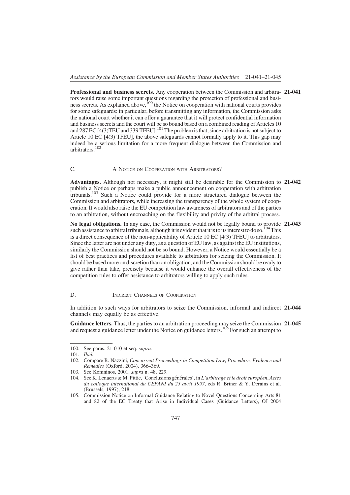Professional and business secrets. Any cooperation between the Commission and arbitra- 21-041 tors would raise some important questions regarding the protection of professional and business secrets. As explained above,<sup>100</sup> the Notice on cooperation with national courts provides for some safeguards: in particular, before transmitting any information, the Commission asks the national court whether it can offer a guarantee that it will protect confidential information and business secrets and the court will be so bound based on a combined reading of Articles 10 and 287 EC [4(3)TEU and 339 TFEU].<sup>101</sup> The problem is that, since arbitration is not subject to Article 10 EC [4(3) TFEU], the above safeguards cannot formally apply to it. This gap may indeed be a serious limitation for a more frequent dialogue between the Commission and arbitrators.102

#### C. A NOTICE ON COOPERATION WITH ARBITRATORS?

Advantages. Although not necessary, it might still be desirable for the Commission to 21-042 publish a Notice or perhaps make a public announcement on cooperation with arbitration tribunals.103 Such a Notice could provide for a more structured dialogue between the Commission and arbitrators, while increasing the transparency of the whole system of cooperation. It would also raise the EU competition law awareness of arbitrators and of the parties to an arbitration, without encroaching on the flexibility and privity of the arbitral process.

No legal obligations. In any case, the Commission would not be legally bound to provide 21-043 such assistance to arbitral tribunals, although it is evident that it is to its interest to do so.<sup>104</sup> This is a direct consequence of the non-applicability of Article 10 EC [4(3) TFEU] to arbitrators. Since the latter are not under any duty, as a question of EU law, as against the EU institutions, similarly the Commission should not be so bound. However, a Notice would essentially be a list of best practices and procedures available to arbitrators for seizing the Commission. It should be based more on discretionthan on obligation, and the Commission should be ready to give rather than take, precisely because it would enhance the overall effectiveness of the competition rules to offer assistance to arbitrators willing to apply such rules.

#### D. **INDIRECT CHANNELS OF COOPERATION**

In addition to such ways for arbitrators to seize the Commission, informal and indirect 21-044 channels may equally be as effective.

Guidance letters. Thus, the parties to an arbitration proceeding may seize the Commission 21-045 and request a guidance letter under the Notice on guidance letters.<sup>105</sup> For such an attempt to

<sup>100.</sup> See paras. 21-010 et seq. supra.

<sup>101.</sup> Ibid.

<sup>102.</sup> Compare R. Nazzini, Concurrent Proceedings in Competition Law, Procedure, Evidence and Remedies (Oxford, 2004), 366–369.

<sup>103.</sup> See Komninos, 2001, supra n. 48, 229.

<sup>104.</sup> See K. Lenaerts & M. Pittie, 'Conclusions générales', in L'arbitrage et le droit européen, Actes du colloque international du CEPANI du 25 avril 1997, eds R. Briner & Y. Derains et al. (Brussels, 1997), 218.

<sup>105.</sup> Commission Notice on Informal Guidance Relating to Novel Questions Concerning Arts 81 and 82 of the EC Treaty that Arise in Individual Cases (Guidance Letters), OJ 2004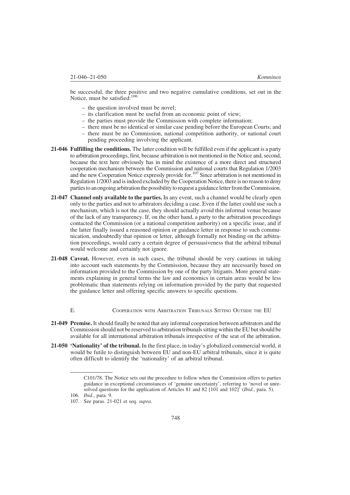be successful, the three positive and two negative cumulative conditions, set out in the Notice, must be satisfied:<sup>106</sup>

- the question involved must be novel;
- its clarification must be useful from an economic point of view;
- the parties must provide the Commission with complete information;
- there must be no identical or similar case pending before the European Courts; and
- there must be no Commission, national competition authority, or national court pending proceeding involving the applicant.
- 21-046 Fulfilling the conditions. The latter condition will be fulfilled even if the applicant is a party to arbitration proceedings, first, because arbitration is not mentioned in the Notice and, second, because the text here obviously has in mind the existence of a more direct and structured cooperation mechanism between the Commission and national courts that Regulation 1/2003 and the new Cooperation Notice expressly provide for.<sup>107</sup> Since arbitration is not mentioned in Regulation 1/2003 and is indeed excluded by the Cooperation Notice, there is no reason to deny parties to an ongoing arbitration the possibility to request a guidance letter from the Commission.
- 21-047 Channel only available to the parties. In any event, such a channel would be clearly open only to the parties and not to arbitrators deciding a case. Even if the latter could use such a mechanism, which is not the case, they should actually avoid this informal venue because of the lack of any transparency. If, on the other hand, a party to the arbitration proceedings contacted the Commission (or a national competition authority) on a specific issue, and if the latter finally issued a reasoned opinion or guidance letter in response to such communication, undoubtedly that opinion or letter, although formally not binding on the arbitration proceedings, would carry a certain degree of persuasiveness that the arbitral tribunal would welcome and certainly not ignore.
- 21-048 Caveat. However, even in such cases, the tribunal should be very cautious in taking into account such statements by the Commission, because they are necessarily based on information provided to the Commission by one of the party litigants. More general statements explaining in general terms the law and economics in certain areas would be less problematic than statements relying on information provided by the party that requested the guidance letter and offering specific answers to specific questions.
	- E. COOPERATION WITH ARBITRATION TRIBUNALS SITTING OUTSIDE THE EU
- 21-049 Premise. It should finally be noted that any informal cooperation between arbitrators and the Commission should not be reserved to arbitration tribunals sitting within the EU but should be available for all international arbitration tribunals irrespective of the seat of the arbitration.
- 21-050 'Nationality' of the tribunal. In the first place, in today's globalized commercial world, it would be futile to distinguish between EU and non-EU arbitral tribunals, since it is quite often difficult to identify the 'nationality' of an arbitral tribunal.

C101/78. The Notice sets out the procedure to follow when the Commission offers to parties guidance in exceptional circumstances of 'genuine uncertainty', referring to 'novel or unresolved questions for the application of Articles 81 and 82 [101 and 102]<sup>'</sup> (Ibid., para. 5).

<sup>106.</sup> Ibid., para. 9.

<sup>107.</sup> See paras. 21-021 et seq. supra.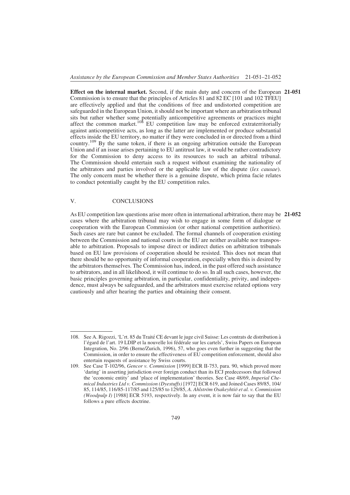Effect on the internal market. Second, if the main duty and concern of the European 21-051 Commission is to ensure that the principles of Articles 81 and 82 EC [101 and 102 TFEU] are effectively applied and that the conditions of free and undistorted competition are safeguarded in the European Union, it should not be important where an arbitration tribunal sits but rather whether some potentially anticompetitive agreements or practices might affect the common market.<sup>108</sup> EU competition law may be enforced extraterritorially against anticompetitive acts, as long as the latter are implemented or produce substantial effects inside the EU territory, no matter if they were concluded in or directed from a third country.<sup>109</sup> By the same token, if there is an ongoing arbitration outside the European Union and if an issue arises pertaining to EU antitrust law, it would be rather contradictory for the Commission to deny access to its resources to such an arbitral tribunal. The Commission should entertain such a request without examining the nationality of the arbitrators and parties involved or the applicable law of the dispute (lex causae). The only concern must be whether there is a genuine dispute, which prima facie relates to conduct potentially caught by the EU competition rules.

#### V. CONCLUSIONS

As EU competition law questions arise more often in international arbitration, there may be 21-052 cases where the arbitration tribunal may wish to engage in some form of dialogue or cooperation with the European Commission (or other national competition authorities). Such cases are rare but cannot be excluded. The formal channels of cooperation existing between the Commission and national courts in the EU are neither available nor transposable to arbitration. Proposals to impose direct or indirect duties on arbitration tribunals based on EU law provisions of cooperation should be resisted. This does not mean that there should be no opportunity of informal cooperation, especially when this is desired by the arbitrators themselves. The Commission has, indeed, in the past offered such assistance to arbitrators, and in all likelihood, it will continue to do so. In all such cases, however, the basic principles governing arbitration, in particular, confidentiality, privity, and independence, must always be safeguarded, and the arbitrators must exercise related options very cautiously and after hearing the parties and obtaining their consent.

<sup>108.</sup> See A. Rigozzi, 'L'rt. 85 du Traité CE devant le juge civil Suisse: Les contrats de distribution à l'égard de l'art. 19 LDIP et la nouvelle loi fédérale sur les cartels', Swiss Papers on European Integration, No. 2/96 (Berne/Zurich, 1996), 57, who goes even further in suggesting that the Commission, in order to ensure the effectiveness of EU competition enforcement, should also entertain requests of assistance by Swiss courts.

<sup>109.</sup> See Case T-102/96, Gencor v. Commission [1999] ECR II-753, para. 90, which proved more 'daring' in asserting jurisdiction over foreign conduct than its ECJ predecessors that followed the 'economic entity' and 'place of implementation' theories. See Case 48/69, Imperial Chemical Industries Ltd v. Commission (Dyestuffs) [1972] ECR 619, and Joined Cases 89/85, 104/ 85, 114/85, 116/85-117/85 and 125/85 to 129/85, A. Ahlström Osakeyhtiö et al. v. Commission (Woodpulp I) [1988] ECR 5193, respectively. In any event, it is now fair to say that the EU follows a pure effects doctrine.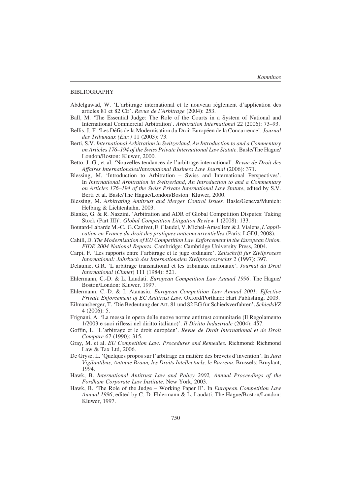#### BIBLIOGRAPHY

- Abdelgawad, W. 'L'arbitrage international et le nouveau règlement d'application des articles 81 et 82 CE'. Revue de l'Arbitrage (2004): 253.
- Ball, M. 'The Essential Judge: The Role of the Courts in a System of National and International Commercial Arbitration'. Arbitration International 22 (2006): 73–93.
- Bellis, J.-F. 'Les Défis de la Modernisation du Droit Européen de la Concurrence'. Journal des Tribunaux (Eur.) 11 (2003): 73.
- Berti, S.V. International Arbitration in Switzerland, An Introduction to and a Commentary on Articles 176–194 of the Swiss Private International Law Statute. Basle/The Hague/ London/Boston: Kluwer, 2000.
- Betto, J.-G., et al. 'Nouvelles tendances de l'arbitrage international'. Revue de Droit des Affaires Internationales/International Business Law Journal (2006): 371.
- Blessing, M. 'Introduction to Arbitration Swiss and International Perspectives'. In International Arbitration in Switzerland, An Introduction to and a Commentary on Articles 176–194 of the Swiss Private International Law Statute, edited by S.V. Berti et al. Basle/The Hague/London/Boston: Kluwer, 2000.
- Blessing, M. Arbitrating Antitrust and Merger Control Issues. Basle/Geneva/Munich: Helbing & Lichtenhahn, 2003.
- Blanke, G. & R. Nazzini. 'Arbitration and ADR of Global Competition Disputes: Taking Stock (Part III)'. Global Competition Litigation Review 1 (2008): 133.
- Boutard-Labarde M.-C., G. Canivet, E. Claudel, V.Michel-Amsellem & J. Vialens, L'application en France du droit des pratiques anticoncurrentielles (Paris: LGDJ, 2008).
- Cahill, D. The Modernisation of EU Competition Law Enforcement in the European Union. FIDE 2004 National Reports. Cambridge: Cambridge University Press, 2004.
- Carpi, F. 'Les rapports entre l'arbitrage et le juge ordinaire'. Zeitschrift fur Zivilprozess International: Jahrbuch des Internationalen Zivilprocessrechts 2 (1997): 397.
- Delaume, G.R. 'L'arbitrage transnational et les tribunaux nationaux'. Journal du Droit International (Clunet) 111 (1984): 521.
- Ehlermann, C.-D. & L. Laudati. *European Competition Law Annual 1996*. The Hague/ Boston/London: Kluwer, 1997.
- Ehlermann, C.-D. & I. Atanasiu. European Competition Law Annual 2001: Effective Private Enforcement of EC Antitrust Law. Oxford/Portland: Hart Publishing, 2003.
- Eilmansberger, T. 'Die Bedeutung der Art. 81 und 82 EG für Schiedsverfahren'. SchiedsVZ 4 (2006): 5.
- Frignani, A. 'La messa in opera delle nuove norme antitrust comunitarie (Il Regolamento 1/2003 e suoi riflessi nel diritto italiano)'. Il Diritto Industriale (2004): 457.
- Goffin, L. 'L'arbitrage et le droit européen'. Revue de Droit International et de Droit Compare 67 (1990): 315.
- Gray, M. et al. EU Competition Law: Procedures and Remedies. Richmond: Richmond Law & Tax Ltd, 2006.
- De Gryse, L. 'Quelques propos sur l'arbitrage en matière des brevets d'invention'. In Jura Vigilantibus, Antoine Braun, les Droits Intellectuels, le Barreau. Brussels: Bruylant, 1994.
- Hawk, B. International Antitrust Law and Policy 2002, Annual Proceedings of the Fordham Corporate Law Institute. New York, 2003.
- Hawk, B. 'The Role of the Judge Working Paper II'. In *European Competition Law* Annual 1996, edited by C.-D. Ehlermann & L. Laudati. The Hague/Boston/London: Kluwer, 1997.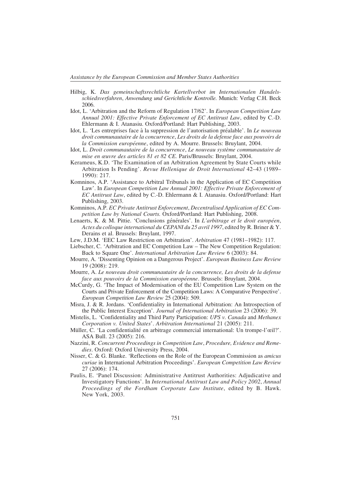- Hilbig, K. Das gemeinschaftsrechtliche Kartellverbot im Internationalen Handelsschiedsverfahren, Anwendung und Gerichtliche Kontrolle. Munich: Verlag C.H. Beck 2006.
- Idot, L. 'Arbitration and the Reform of Regulation 17/62'. In European Competition Law Annual 2001: Effective Private Enforcement of EC Antitrust Law, edited by C.-D. Ehlermann & I. Atanasiu. Oxford/Portland: Hart Publishing, 2003.
- Idot, L. 'Les entreprises face à la suppression de l'autorisation préalable'. In Le nouveau droit communautaire de la concurrence, Les droits de la defense face aux pouvoirs de la Commission européenne, edited by A. Mourre. Brussels: Bruylant, 2004.
- Idot, L. Droit communautaire de la concurrence, Le nouveau système communautaire de mise en œuvre des articles 81 et 82 CE. Paris/Brussels: Bruylant, 2004.
- Kerameus, K.D. 'The Examination of an Arbitration Agreement by State Courts while Arbitration Is Pending'. Revue Hellenique de Droit International 42–43 (1989– 1990): 217.
- Komninos, A.P. 'Assistance to Arbitral Tribunals in the Application of EC Competition Law'. In European Competition Law Annual 2001: Effective Private Enforcement of EC Antitrust Law, edited by C.-D. Ehlermann & I. Atanasiu. Oxford/Portland: Hart Publishing, 2003.
- Komninos, A.P. EC Private Antitrust Enforcement, Decentralised Application of EC Competition Law by National Courts. Oxford/Portland: Hart Publishing, 2008.
- Lenaerts, K. & M. Pittie. 'Conclusions générales'. In L'arbitrage et le droit européen, Actes du colloque international du CEPANI du 25 avril 1997, edited by R. Briner & Y. Derains et al. Brussels: Bruylant, 1997.
- Lew, J.D.M. 'EEC Law Restriction on Arbitration'. Arbitration 47 (1981–1982): 117.
- Liebscher, C. 'Arbitration and EC Competition Law The New Competition Regulation: Back to Square One'. International Arbitration Law Review 6 (2003): 84.
- Mourre, A. 'Dissenting Opinion on a Dangerous Project'. European Business Law Review 19 (2008): 219.
- Mourre, A. Le nouveau droit communautaire de la concurrence, Les droits de la defense face aux pouvoirs de la Commission européenne. Brussels: Bruylant, 2004.
- McCurdy, G. 'The Impact of Modernisation of the EU Competition Law System on the Courts and Private Enforcement of the Competition Laws: A Comparative Perspective'. European Competition Law Review 25 (2004): 509.
- Misra, J. & R. Jordans. 'Confidentiality in International Arbitration: An Introspection of the Public Interest Exception'. Journal of International Arbitration 23 (2006): 39.
- Mistelis, L. 'Confidentiality and Third Party Participation: UPS v. Canada and Methanex Corporation v. United States'. Arbitration International 21 (2005): 211.
- Müller, C. 'La confidentialité en arbitrage commercial international: Un trompe-l'œil?'. ASA Bull. 23 (2005): 216.
- Nazzini, R. Concurrent Proceedings in Competition Law, Procedure, Evidence and Remedies. Oxford: Oxford University Press, 2004.
- Nisser, C. & G. Blanke. 'Reflections on the Role of the European Commission as amicus curiae in International Arbitration Proceedings'. European Competition Law Review 27 (2006): 174.
- Paulis, E. 'Panel Discussion: Administrative Antitrust Authorities: Adjudicative and Investigatory Functions'. In International Antitrust Law and Policy 2002, Annual Proceedings of the Fordham Corporate Law Institute, edited by B. Hawk. New York, 2003.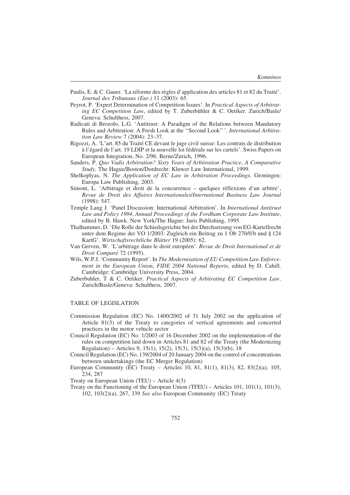- Paulis, E. & C. Gauer. 'La réforme des règles d'application des articles 81 et 82 du Traité'. Journal des Tribunaux (Eur.) 11 (2003): 65.
- Peyrot, P. 'Expert Determination of Competition Issues'. In Practical Aspects of Arbitrating EC Competition Law, edited by T. Zuberbühler & C. Oetiker. Zurich/Basle/ Geneva: Schulthess, 2007.
- Radicati di Brozolo, L.G. 'Antitrust: A Paradigm of the Relations between Mandatory Rules and Arbitration: A Fresh Look at the ''Second Look'' '. International Arbitration Law Review 7 (2004): 23–37.
- Rigozzi, A. 'L'art. 85 du Traité CE devant le juge civil suisse: Les contrats de distribution à l'égard de l'art. 19 LDIP et la nouvelle loi fédérale sur les cartels'. Swiss Papers on European Integration, No. 2/96. Berne/Zurich, 1996.
- Sanders, P. Quo Vadis Arbitration? Sixty Years of Arbitration Practice, A Comparative Study. The Hague/Boston/Dordrecht: Kluwer Law International, 1999.
- Shelkoplyas, N. The Application of EC Law in Arbitration Proceedings. Groningen: Europa Law Publishing, 2003.
- Simont, L. 'Arbitrage et droit de la concurrence quelques réflexions d'un arbitre', Revue de Droit des Affaires Internationales/International Business Law Journal (1998): 547.
- Temple Lang J. 'Panel Discussion: International Arbitration'. In International Antitrust Law and Policy 1994, Annual Proceedings of the Fordham Corporate Law Institute, edited by B. Hawk. New York/The Hague: Juris Publishing, 1995.
- Thalhammer, D. 'Die Rolle der Schiedsgerichte bei der Durchsetzung von EG-Kartellrecht unter dem Regime der VO 1/2003: Zugleich ein Beitrag zu 1 Ob 270/03t und § 124 KartG'. Wirtschaftsrechtliche Blätter 19 (2005): 62.
- Van Gerven, W. 'L'arbitrage dans le droit européen'. Revue de Droit International et de Droit Comparé 72 (1995).
- Wils, W.P.J. 'Community Report'. In The Modernisation of EU Competition Law Enforcement in the European Union, FIDE 2004 National Reports, edited by D. Cahill. Cambridge: Cambridge University Press, 2004.
- Zuberbuhler, T & C. Oetiker. Practical Aspects of Arbitrating EC Competition Law. Zurich/Basle/Geneva: Schulthess, 2007.

#### TABLE OF LEGISLATION

- Commission Regulation (EC) No. 1400/2002 of 31 July 2002 on the application of Article 81(3) of the Treaty to categories of vertical agreements and concerted practices in the motor vehicle sector
- Council Regulation (EC) No. 1/2003 of 16 December 2002 on the implementation of the rules on competition laid down in Articles 81 and 82 of the Treaty (the Modernizing Regulation) – Articles 9, 15(1), 15(2), 15(3), 15(3)(a), 15(3)(b), 18
- Council Regulation (EC) No. 139/2004 of 20 January 2004 on the control of concentrations between undertakings (the EC Merger Regulation)
- European Community (EC) Treaty Articles 10, 81, 81(1), 81(3), 82, 83(2)(a), 105, 234, 287
- Treaty on European Union (TEU) Article 4(3)
- Treaty on the Functioning of the European Union (TFEU) Articles 101, 101(1), 101(3), 102, 103(2)(a), 267, 339 See also European Community (EC) Treaty